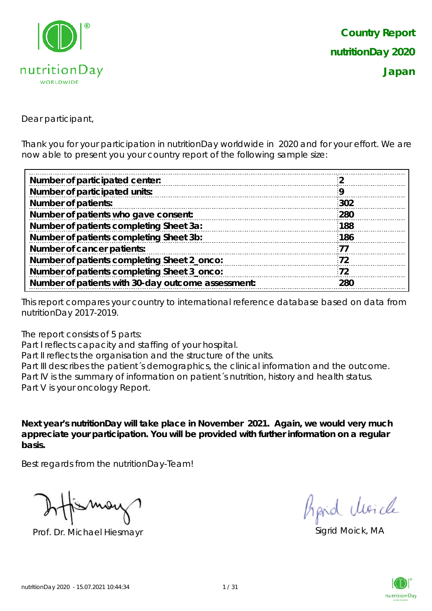

Dear participant,

Thank you for your participation in nutritionDay worldwide in 2020 and for your effort. We are now able to present you your country report of the following sample size:

| 302 |
|-----|
| 280 |
| 188 |
| 186 |
| 77  |
| 72  |
| 72  |
| 280 |
|     |

This report compares your country to international reference database based on data from nutritionDay 2017-2019.

The report consists of 5 parts:

Part I reflects capacity and staffing of your hospital.

Part II reflects the organisation and the structure of the units.

Part III describes the patient's demographics, the clinical information and the outcome. Part IV is the summary of information on patient´s nutrition, history and health status. Part V is your oncology Report.

**Next year's nutritionDay will take place in November 2021. Again, we would very much appreciate your participation. You will be provided with further information on a regular basis.**

Best regards from the nutritionDay-Team!

Prof. Dr. Michael Hiesmayr Sigrid Moick, MA

hard Moich

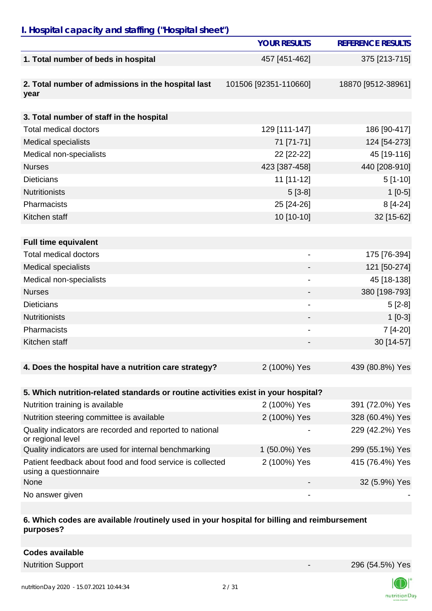## *I. Hospital capacity and staffing ("Hospital sheet")*

|                                                                                    | <b>YOUR RESULTS</b>   | <b>REFERENCE RESULTS</b> |
|------------------------------------------------------------------------------------|-----------------------|--------------------------|
| 1. Total number of beds in hospital                                                | 457 [451-462]         | 375 [213-715]            |
| 2. Total number of admissions in the hospital last<br>year                         | 101506 [92351-110660] | 18870 [9512-38961]       |
| 3. Total number of staff in the hospital                                           |                       |                          |
| <b>Total medical doctors</b>                                                       | 129 [111-147]         | 186 [90-417]             |
| <b>Medical specialists</b>                                                         | 71 [71-71]            | 124 [54-273]             |
| Medical non-specialists                                                            | 22 [22-22]            | 45 [19-116]              |
| <b>Nurses</b>                                                                      | 423 [387-458]         | 440 [208-910]            |
| <b>Dieticians</b>                                                                  | 11 [11-12]            | $5[1-10]$                |
| <b>Nutritionists</b>                                                               | $5[3-8]$              | $1[0-5]$                 |
| Pharmacists                                                                        | 25 [24-26]            | $8[4-24]$                |
| Kitchen staff                                                                      | 10 [10-10]            | 32 [15-62]               |
|                                                                                    |                       |                          |
| <b>Full time equivalent</b>                                                        |                       |                          |
| <b>Total medical doctors</b>                                                       | $\blacksquare$        | 175 [76-394]             |
| <b>Medical specialists</b>                                                         |                       | 121 [50-274]             |
| Medical non-specialists                                                            |                       | 45 [18-138]              |
| <b>Nurses</b>                                                                      |                       | 380 [198-793]            |
| <b>Dieticians</b>                                                                  |                       | $5[2-8]$                 |
| <b>Nutritionists</b>                                                               |                       | $1[0-3]$                 |
| Pharmacists                                                                        |                       | 7 [4-20]                 |
| Kitchen staff                                                                      |                       | 30 [14-57]               |
|                                                                                    |                       |                          |
| 4. Does the hospital have a nutrition care strategy?                               | 2 (100%) Yes          | 439 (80.8%) Yes          |
|                                                                                    |                       |                          |
| 5. Which nutrition-related standards or routine activities exist in your hospital? |                       |                          |
| Nutrition training is available                                                    | 2 (100%) Yes          | 391 (72.0%) Yes          |
| Nutrition steering committee is available                                          | 2 (100%) Yes          | 328 (60.4%) Yes          |
| Quality indicators are recorded and reported to national<br>or regional level      |                       | 229 (42.2%) Yes          |
| Quality indicators are used for internal benchmarking                              | 1 (50.0%) Yes         | 299 (55.1%) Yes          |
| Patient feedback about food and food service is collected<br>using a questionnaire | 2 (100%) Yes          | 415 (76.4%) Yes          |
| None                                                                               |                       | 32 (5.9%) Yes            |
| No answer given                                                                    |                       |                          |

#### **6. Which codes are available /routinely used in your hospital for billing and reimbursement purposes?**

Nutrition Support 296 (54.5%) Yes



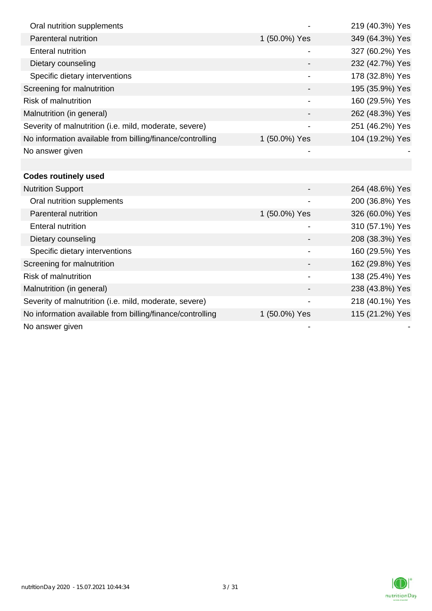| Oral nutrition supplements                                |               | 219 (40.3%) Yes |
|-----------------------------------------------------------|---------------|-----------------|
| Parenteral nutrition                                      | 1 (50.0%) Yes | 349 (64.3%) Yes |
| <b>Enteral nutrition</b>                                  |               | 327 (60.2%) Yes |
| Dietary counseling                                        |               | 232 (42.7%) Yes |
| Specific dietary interventions                            |               | 178 (32.8%) Yes |
| Screening for malnutrition                                |               | 195 (35.9%) Yes |
| Risk of malnutrition                                      |               | 160 (29.5%) Yes |
| Malnutrition (in general)                                 |               | 262 (48.3%) Yes |
| Severity of malnutrition (i.e. mild, moderate, severe)    |               | 251 (46.2%) Yes |
| No information available from billing/finance/controlling | 1 (50.0%) Yes | 104 (19.2%) Yes |
| No answer given                                           |               |                 |
|                                                           |               |                 |
| <b>Codes routinely used</b>                               |               |                 |
| <b>Nutrition Support</b>                                  |               | 264 (48.6%) Yes |
| Oral nutrition supplements                                |               | 200 (36.8%) Yes |
| Parenteral nutrition                                      | 1 (50.0%) Yes | 326 (60.0%) Yes |
| <b>Enteral nutrition</b>                                  |               | 310 (57.1%) Yes |
| Dietary counseling                                        |               | 208 (38.3%) Yes |
| Specific dietary interventions                            |               | 160 (29.5%) Yes |
| Screening for malnutrition                                |               | 162 (29.8%) Yes |
| Risk of malnutrition                                      |               | 138 (25.4%) Yes |
| Malnutrition (in general)                                 |               | 238 (43.8%) Yes |
| Severity of malnutrition (i.e. mild, moderate, severe)    |               | 218 (40.1%) Yes |
| No information available from billing/finance/controlling | 1 (50.0%) Yes | 115 (21.2%) Yes |
| No answer given                                           |               |                 |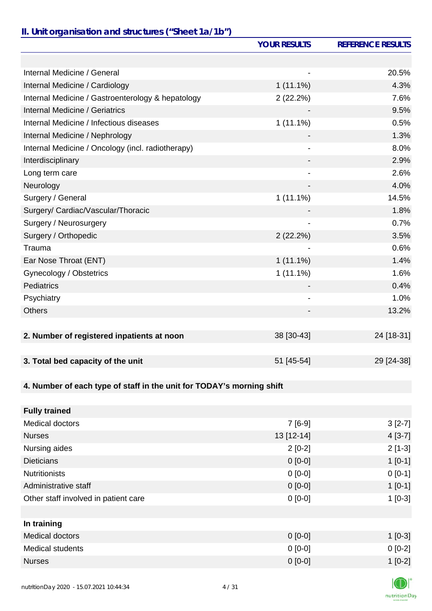## *II. Unit organisation and structures ("Sheet 1a/1b")*

|                                                                       | <b>YOUR RESULTS</b> | <b>REFERENCE RESULTS</b> |
|-----------------------------------------------------------------------|---------------------|--------------------------|
|                                                                       |                     |                          |
| Internal Medicine / General                                           |                     | 20.5%                    |
| Internal Medicine / Cardiology                                        | $1(11.1\%)$         | 4.3%                     |
| Internal Medicine / Gastroenterology & hepatology                     | 2(22.2%)            | 7.6%                     |
| <b>Internal Medicine / Geriatrics</b>                                 |                     | 9.5%                     |
| Internal Medicine / Infectious diseases                               | $1(11.1\%)$         | 0.5%                     |
| Internal Medicine / Nephrology                                        |                     | 1.3%                     |
| Internal Medicine / Oncology (incl. radiotherapy)                     |                     | 8.0%                     |
| Interdisciplinary                                                     |                     | 2.9%                     |
| Long term care                                                        |                     | 2.6%                     |
| Neurology                                                             |                     | 4.0%                     |
| Surgery / General                                                     | $1(11.1\%)$         | 14.5%                    |
| Surgery/ Cardiac/Vascular/Thoracic                                    |                     | 1.8%                     |
| Surgery / Neurosurgery                                                | $\blacksquare$      | 0.7%                     |
| Surgery / Orthopedic                                                  | 2(22.2%)            | 3.5%                     |
| Trauma                                                                |                     | 0.6%                     |
| Ear Nose Throat (ENT)                                                 | $1(11.1\%)$         | 1.4%                     |
| Gynecology / Obstetrics                                               | $1(11.1\%)$         | 1.6%                     |
| <b>Pediatrics</b>                                                     |                     | 0.4%                     |
| Psychiatry                                                            |                     | 1.0%                     |
| <b>Others</b>                                                         |                     | 13.2%                    |
|                                                                       |                     |                          |
| 2. Number of registered inpatients at noon                            | 38 [30-43]          | 24 [18-31]               |
| 3. Total bed capacity of the unit                                     | 51 [45-54]          | 29 [24-38]               |
|                                                                       |                     |                          |
| 4. Number of each type of staff in the unit for TODAY's morning shift |                     |                          |
| <b>Fully trained</b>                                                  |                     |                          |
| Medical doctors                                                       | $7[6-9]$            | $3[2-7]$                 |
| <b>Nurses</b>                                                         | 13 [12-14]          | $4[3-7]$                 |
| Nursing aides                                                         | $2[0-2]$            | $2[1-3]$                 |
| <b>Dieticians</b>                                                     | $0 [0-0]$           | $1[0-1]$                 |
| <b>Nutritionists</b>                                                  | $0[0-0]$            | $0[0-1]$                 |
| Administrative staff                                                  | $0 [0-0]$           | $1[0-1]$                 |
| Other staff involved in patient care                                  | $0 [0-0]$           | $1[0-3]$                 |
|                                                                       |                     |                          |
| In training                                                           |                     |                          |
| <b>Medical doctors</b>                                                | $0 [0-0]$           | $1[0-3]$                 |
| <b>Medical students</b>                                               | $0[0-0]$            | $0[0-2]$                 |
| <b>Nurses</b>                                                         | $0 [0-0]$           | $1[0-2]$                 |
|                                                                       |                     |                          |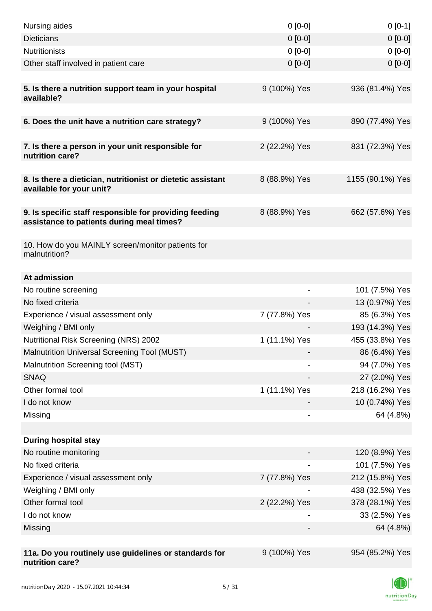| Nursing aides                                                                                       | $0 [0-0]$     | $0[0-1]$         |
|-----------------------------------------------------------------------------------------------------|---------------|------------------|
| <b>Dieticians</b>                                                                                   | $0 [0-0]$     | $0[0-0]$         |
| <b>Nutritionists</b>                                                                                | $0 [0-0]$     | $0[0-0]$         |
| Other staff involved in patient care                                                                | $0 [0-0]$     | $0[0-0]$         |
|                                                                                                     |               |                  |
| 5. Is there a nutrition support team in your hospital<br>available?                                 | 9 (100%) Yes  | 936 (81.4%) Yes  |
| 6. Does the unit have a nutrition care strategy?                                                    | 9 (100%) Yes  | 890 (77.4%) Yes  |
|                                                                                                     |               |                  |
| 7. Is there a person in your unit responsible for<br>nutrition care?                                | 2 (22.2%) Yes | 831 (72.3%) Yes  |
| 8. Is there a dietician, nutritionist or dietetic assistant<br>available for your unit?             | 8 (88.9%) Yes | 1155 (90.1%) Yes |
|                                                                                                     |               |                  |
| 9. Is specific staff responsible for providing feeding<br>assistance to patients during meal times? | 8 (88.9%) Yes | 662 (57.6%) Yes  |
|                                                                                                     |               |                  |
| 10. How do you MAINLY screen/monitor patients for<br>malnutrition?                                  |               |                  |
|                                                                                                     |               |                  |
| At admission                                                                                        |               |                  |
| No routine screening                                                                                | -             | 101 (7.5%) Yes   |
| No fixed criteria                                                                                   |               | 13 (0.97%) Yes   |
| Experience / visual assessment only                                                                 | 7 (77.8%) Yes | 85 (6.3%) Yes    |
| Weighing / BMI only                                                                                 |               | 193 (14.3%) Yes  |
| Nutritional Risk Screening (NRS) 2002                                                               | 1 (11.1%) Yes | 455 (33.8%) Yes  |
| Malnutrition Universal Screening Tool (MUST)                                                        |               | 86 (6.4%) Yes    |
| Malnutrition Screening tool (MST)                                                                   |               | 94 (7.0%) Yes    |
| <b>SNAQ</b>                                                                                         |               | 27 (2.0%) Yes    |
| Other formal tool                                                                                   | 1 (11.1%) Yes | 218 (16.2%) Yes  |
| I do not know                                                                                       |               | 10 (0.74%) Yes   |
| Missing                                                                                             |               | 64 (4.8%)        |
|                                                                                                     |               |                  |
| <b>During hospital stay</b>                                                                         |               |                  |
| No routine monitoring                                                                               |               | 120 (8.9%) Yes   |
| No fixed criteria                                                                                   |               | 101 (7.5%) Yes   |
| Experience / visual assessment only                                                                 | 7 (77.8%) Yes | 212 (15.8%) Yes  |
| Weighing / BMI only                                                                                 |               | 438 (32.5%) Yes  |
| Other formal tool                                                                                   | 2 (22.2%) Yes | 378 (28.1%) Yes  |
| I do not know                                                                                       |               | 33 (2.5%) Yes    |
| Missing                                                                                             |               | 64 (4.8%)        |
|                                                                                                     |               |                  |
| 11a. Do you routinely use guidelines or standards for<br>nutrition care?                            | 9 (100%) Yes  | 954 (85.2%) Yes  |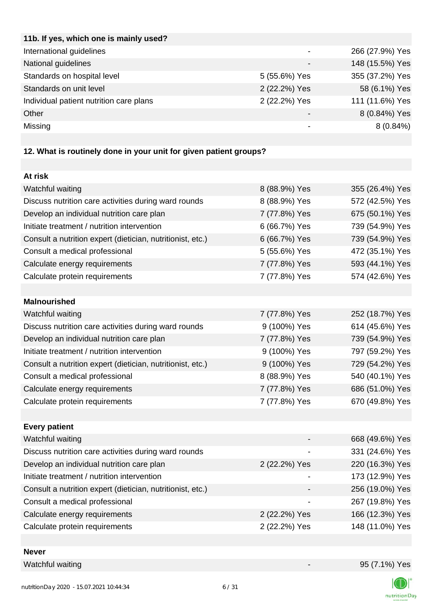| 11b. If yes, which one is mainly used?  |               |                 |
|-----------------------------------------|---------------|-----------------|
| International guidelines                |               | 266 (27.9%) Yes |
| National guidelines                     |               | 148 (15.5%) Yes |
| Standards on hospital level             | 5 (55.6%) Yes | 355 (37.2%) Yes |
| Standards on unit level                 | 2 (22.2%) Yes | 58 (6.1%) Yes   |
| Individual patient nutrition care plans | 2 (22.2%) Yes | 111 (11.6%) Yes |
| Other                                   |               | 8 (0.84%) Yes   |
| Missing                                 |               | $8(0.84\%)$     |
|                                         |               |                 |

# **12. What is routinely done in your unit for given patient groups?**

| At risk                                                    |               |                 |
|------------------------------------------------------------|---------------|-----------------|
| Watchful waiting                                           | 8 (88.9%) Yes | 355 (26.4%) Yes |
| Discuss nutrition care activities during ward rounds       | 8 (88.9%) Yes | 572 (42.5%) Yes |
| Develop an individual nutrition care plan                  | 7 (77.8%) Yes | 675 (50.1%) Yes |
| Initiate treatment / nutrition intervention                | 6 (66.7%) Yes | 739 (54.9%) Yes |
| Consult a nutrition expert (dietician, nutritionist, etc.) | 6 (66.7%) Yes | 739 (54.9%) Yes |
| Consult a medical professional                             | 5 (55.6%) Yes | 472 (35.1%) Yes |
| Calculate energy requirements                              | 7 (77.8%) Yes | 593 (44.1%) Yes |
| Calculate protein requirements                             | 7 (77.8%) Yes | 574 (42.6%) Yes |
|                                                            |               |                 |
| <b>Malnourished</b>                                        |               |                 |
| Watchful waiting                                           | 7 (77.8%) Yes | 252 (18.7%) Yes |
| Discuss nutrition care activities during ward rounds       | 9 (100%) Yes  | 614 (45.6%) Yes |
| Develop an individual nutrition care plan                  | 7 (77.8%) Yes | 739 (54.9%) Yes |
| Initiate treatment / nutrition intervention                | 9 (100%) Yes  | 797 (59.2%) Yes |
| Consult a nutrition expert (dietician, nutritionist, etc.) | 9 (100%) Yes  | 729 (54.2%) Yes |
| Consult a medical professional                             | 8 (88.9%) Yes | 540 (40.1%) Yes |
| Calculate energy requirements                              | 7 (77.8%) Yes | 686 (51.0%) Yes |
| Calculate protein requirements                             | 7 (77.8%) Yes | 670 (49.8%) Yes |
|                                                            |               |                 |
| <b>Every patient</b>                                       |               |                 |
| Watchful waiting                                           |               | 668 (49.6%) Yes |
| Discuss nutrition care activities during ward rounds       |               | 331 (24.6%) Yes |
| Develop an individual nutrition care plan                  | 2 (22.2%) Yes | 220 (16.3%) Yes |
| Initiate treatment / nutrition intervention                |               | 173 (12.9%) Yes |
| Consult a nutrition expert (dietician, nutritionist, etc.) |               | 256 (19.0%) Yes |
| Consult a medical professional                             |               | 267 (19.8%) Yes |
| Calculate energy requirements                              | 2 (22.2%) Yes | 166 (12.3%) Yes |
| Calculate protein requirements                             | 2 (22.2%) Yes | 148 (11.0%) Yes |
|                                                            |               |                 |

**Never**

Watchful waiting  $95 (7.1\%)$  Yes

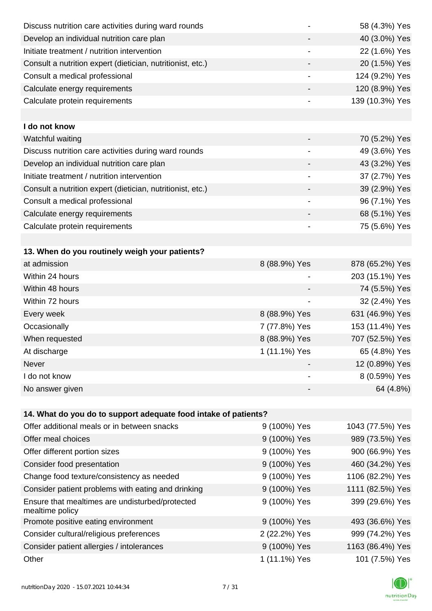| Discuss nutrition care activities during ward rounds               |                          | 58 (4.3%) Yes    |
|--------------------------------------------------------------------|--------------------------|------------------|
| Develop an individual nutrition care plan                          |                          | 40 (3.0%) Yes    |
| Initiate treatment / nutrition intervention                        | $\overline{\phantom{a}}$ | 22 (1.6%) Yes    |
| Consult a nutrition expert (dietician, nutritionist, etc.)         |                          | 20 (1.5%) Yes    |
| Consult a medical professional                                     |                          | 124 (9.2%) Yes   |
| Calculate energy requirements                                      |                          | 120 (8.9%) Yes   |
| Calculate protein requirements                                     |                          | 139 (10.3%) Yes  |
|                                                                    |                          |                  |
| I do not know                                                      |                          |                  |
| Watchful waiting                                                   |                          | 70 (5.2%) Yes    |
| Discuss nutrition care activities during ward rounds               | $\overline{\phantom{a}}$ | 49 (3.6%) Yes    |
| Develop an individual nutrition care plan                          |                          | 43 (3.2%) Yes    |
| Initiate treatment / nutrition intervention                        |                          | 37 (2.7%) Yes    |
| Consult a nutrition expert (dietician, nutritionist, etc.)         |                          | 39 (2.9%) Yes    |
| Consult a medical professional                                     |                          | 96 (7.1%) Yes    |
| Calculate energy requirements                                      |                          | 68 (5.1%) Yes    |
| Calculate protein requirements                                     |                          | 75 (5.6%) Yes    |
|                                                                    |                          |                  |
| 13. When do you routinely weigh your patients?                     |                          |                  |
| at admission                                                       | 8 (88.9%) Yes            | 878 (65.2%) Yes  |
| Within 24 hours                                                    |                          | 203 (15.1%) Yes  |
| Within 48 hours                                                    |                          | 74 (5.5%) Yes    |
| Within 72 hours                                                    |                          | 32 (2.4%) Yes    |
| Every week                                                         | 8 (88.9%) Yes            | 631 (46.9%) Yes  |
| Occasionally                                                       | 7 (77.8%) Yes            | 153 (11.4%) Yes  |
| When requested                                                     | 8 (88.9%) Yes            | 707 (52.5%) Yes  |
| At discharge                                                       | 1 (11.1%) Yes            | 65 (4.8%) Yes    |
| <b>Never</b>                                                       |                          | 12 (0.89%) Yes   |
| I do not know                                                      |                          | 8 (0.59%) Yes    |
| No answer given                                                    |                          | 64 (4.8%)        |
|                                                                    |                          |                  |
| 14. What do you do to support adequate food intake of patients?    |                          |                  |
| Offer additional meals or in between snacks                        | 9 (100%) Yes             | 1043 (77.5%) Yes |
| Offer meal choices                                                 | 9 (100%) Yes             | 989 (73.5%) Yes  |
| Offer different portion sizes                                      | 9 (100%) Yes             | 900 (66.9%) Yes  |
| Consider food presentation                                         | 9 (100%) Yes             | 460 (34.2%) Yes  |
| Change food texture/consistency as needed                          | 9 (100%) Yes             | 1106 (82.2%) Yes |
| Consider patient problems with eating and drinking                 | 9 (100%) Yes             | 1111 (82.5%) Yes |
| Ensure that mealtimes are undisturbed/protected<br>mealtime policy | 9 (100%) Yes             | 399 (29.6%) Yes  |
| Promote positive eating environment                                | 9 (100%) Yes             | 493 (36.6%) Yes  |
| Consider cultural/religious preferences                            | 2 (22.2%) Yes            | 999 (74.2%) Yes  |
| Consider patient allergies / intolerances                          | 9 (100%) Yes             | 1163 (86.4%) Yes |
| Other                                                              | 1 (11.1%) Yes            | 101 (7.5%) Yes   |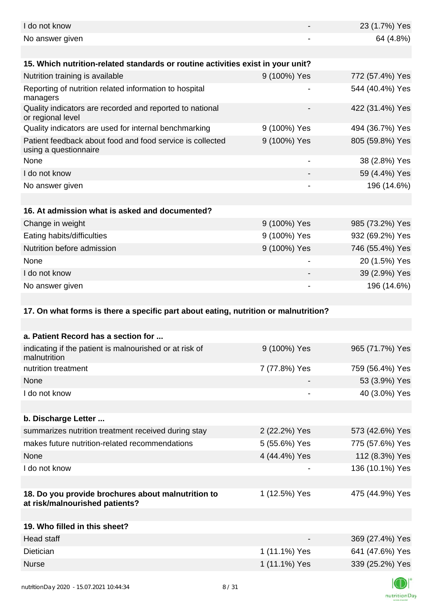| I do not know                                                                        |               | 23 (1.7%) Yes   |
|--------------------------------------------------------------------------------------|---------------|-----------------|
| No answer given                                                                      |               | 64 (4.8%)       |
| 15. Which nutrition-related standards or routine activities exist in your unit?      |               |                 |
| Nutrition training is available                                                      | 9 (100%) Yes  | 772 (57.4%) Yes |
| Reporting of nutrition related information to hospital<br>managers                   |               | 544 (40.4%) Yes |
| Quality indicators are recorded and reported to national<br>or regional level        |               | 422 (31.4%) Yes |
| Quality indicators are used for internal benchmarking                                | 9 (100%) Yes  | 494 (36.7%) Yes |
| Patient feedback about food and food service is collected<br>using a questionnaire   | 9 (100%) Yes  | 805 (59.8%) Yes |
| None                                                                                 |               | 38 (2.8%) Yes   |
| I do not know                                                                        |               | 59 (4.4%) Yes   |
| No answer given                                                                      |               | 196 (14.6%)     |
|                                                                                      |               |                 |
| 16. At admission what is asked and documented?                                       |               |                 |
| Change in weight                                                                     | 9 (100%) Yes  | 985 (73.2%) Yes |
| Eating habits/difficulties                                                           | 9 (100%) Yes  | 932 (69.2%) Yes |
| Nutrition before admission                                                           | 9 (100%) Yes  | 746 (55.4%) Yes |
| None                                                                                 |               | 20 (1.5%) Yes   |
| I do not know                                                                        |               | 39 (2.9%) Yes   |
| No answer given                                                                      |               | 196 (14.6%)     |
|                                                                                      |               |                 |
| 17. On what forms is there a specific part about eating, nutrition or malnutrition?  |               |                 |
|                                                                                      |               |                 |
| a. Patient Record has a section for                                                  |               |                 |
| indicating if the patient is malnourished or at risk of<br>malnutrition              | 9 (100%) Yes  | 965 (71.7%) Yes |
| nutrition treatment                                                                  | 7 (77.8%) Yes | 759 (56.4%) Yes |
| None                                                                                 |               | 53 (3.9%) Yes   |
| I do not know                                                                        |               | 40 (3.0%) Yes   |
|                                                                                      |               |                 |
| b. Discharge Letter                                                                  |               |                 |
| summarizes nutrition treatment received during stay                                  | 2 (22.2%) Yes | 573 (42.6%) Yes |
| makes future nutrition-related recommendations                                       | 5 (55.6%) Yes | 775 (57.6%) Yes |
| None                                                                                 | 4 (44.4%) Yes | 112 (8.3%) Yes  |
| I do not know                                                                        |               | 136 (10.1%) Yes |
|                                                                                      |               |                 |
| 18. Do you provide brochures about malnutrition to<br>at risk/malnourished patients? | 1 (12.5%) Yes | 475 (44.9%) Yes |
|                                                                                      |               |                 |
| 19. Who filled in this sheet?                                                        |               |                 |
| <b>Head staff</b>                                                                    |               | 369 (27.4%) Yes |
| Dietician                                                                            | 1 (11.1%) Yes | 641 (47.6%) Yes |
| <b>Nurse</b>                                                                         | 1 (11.1%) Yes | 339 (25.2%) Yes |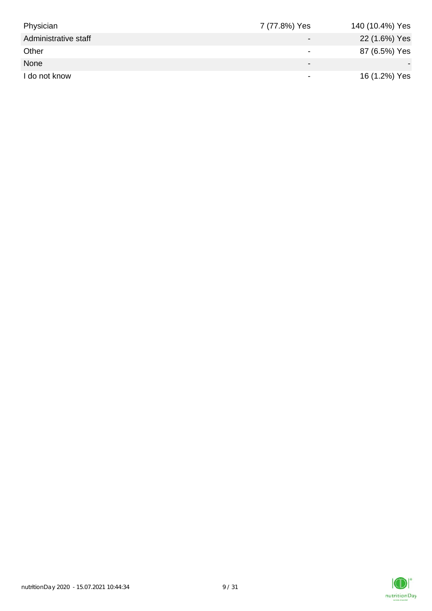| Physician            | 7 (77.8%) Yes            | 140 (10.4%) Yes |
|----------------------|--------------------------|-----------------|
| Administrative staff |                          | 22 (1.6%) Yes   |
| Other                |                          | 87 (6.5%) Yes   |
| None                 | $\overline{\phantom{0}}$ |                 |
| I do not know        | $\overline{\phantom{0}}$ | 16 (1.2%) Yes   |

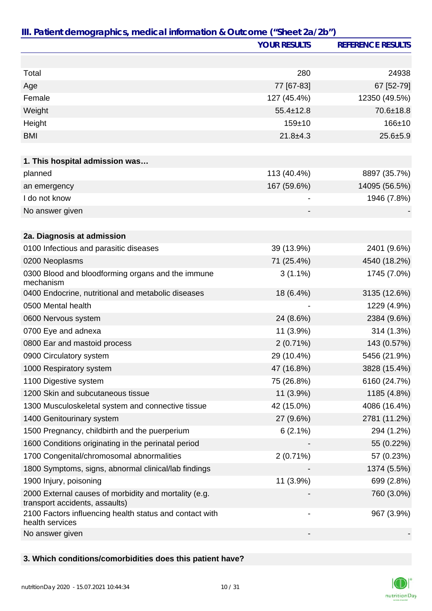|                                                                                         | <b>YOUR RESULTS</b>          | <b>REFERENCE RESULTS</b> |
|-----------------------------------------------------------------------------------------|------------------------------|--------------------------|
|                                                                                         |                              |                          |
| Total                                                                                   | 280                          | 24938                    |
| Age                                                                                     | 77 [67-83]                   | 67 [52-79]               |
| Female                                                                                  | 127 (45.4%)                  | 12350 (49.5%)            |
| Weight                                                                                  | $55.4 \pm 12.8$              | $70.6 \pm 18.8$          |
| Height                                                                                  | $159 + 10$                   | $166 + 10$               |
| <b>BMI</b>                                                                              | $21.8 + 4.3$                 | $25.6 + 5.9$             |
|                                                                                         |                              |                          |
| 1. This hospital admission was                                                          |                              |                          |
| planned                                                                                 | 113 (40.4%)                  | 8897 (35.7%)             |
| an emergency                                                                            | 167 (59.6%)                  | 14095 (56.5%)            |
| I do not know                                                                           |                              | 1946 (7.8%)              |
| No answer given                                                                         |                              |                          |
|                                                                                         |                              |                          |
| 2a. Diagnosis at admission                                                              |                              |                          |
| 0100 Infectious and parasitic diseases                                                  | 39 (13.9%)                   | 2401 (9.6%)              |
| 0200 Neoplasms                                                                          | 71 (25.4%)                   | 4540 (18.2%)             |
| 0300 Blood and bloodforming organs and the immune<br>mechanism                          | $3(1.1\%)$                   | 1745 (7.0%)              |
| 0400 Endocrine, nutritional and metabolic diseases                                      | 18 (6.4%)                    | 3135 (12.6%)             |
| 0500 Mental health                                                                      |                              | 1229 (4.9%)              |
| 0600 Nervous system                                                                     | 24 (8.6%)                    | 2384 (9.6%)              |
| 0700 Eye and adnexa                                                                     | 11 (3.9%)                    | 314 (1.3%)               |
| 0800 Ear and mastoid process                                                            | $2(0.71\%)$                  | 143 (0.57%)              |
| 0900 Circulatory system                                                                 | 29 (10.4%)                   | 5456 (21.9%)             |
| 1000 Respiratory system                                                                 | 47 (16.8%)                   | 3828 (15.4%)             |
| 1100 Digestive system                                                                   | 75 (26.8%)                   | 6160 (24.7%)             |
| 1200 Skin and subcutaneous tissue                                                       | $11(3.9\%)$                  | 1185 (4.8%)              |
| 1300 Musculoskeletal system and connective tissue                                       | 42 (15.0%)                   | 4086 (16.4%)             |
| 1400 Genitourinary system                                                               | 27 (9.6%)                    | 2781 (11.2%)             |
| 1500 Pregnancy, childbirth and the puerperium                                           | $6(2.1\%)$                   | 294 (1.2%)               |
| 1600 Conditions originating in the perinatal period                                     |                              | 55 (0.22%)               |
| 1700 Congenital/chromosomal abnormalities                                               | 2(0.71%)                     | 57 (0.23%)               |
| 1800 Symptoms, signs, abnormal clinical/lab findings                                    |                              | 1374 (5.5%)              |
| 1900 Injury, poisoning                                                                  | 11 (3.9%)                    | 699 (2.8%)               |
| 2000 External causes of morbidity and mortality (e.g.<br>transport accidents, assaults) |                              | 760 (3.0%)               |
| 2100 Factors influencing health status and contact with<br>health services              | $\qquad \qquad \blacksquare$ | 967 (3.9%)               |
| No answer given                                                                         |                              |                          |

## **3. Which conditions/comorbidities does this patient have?**

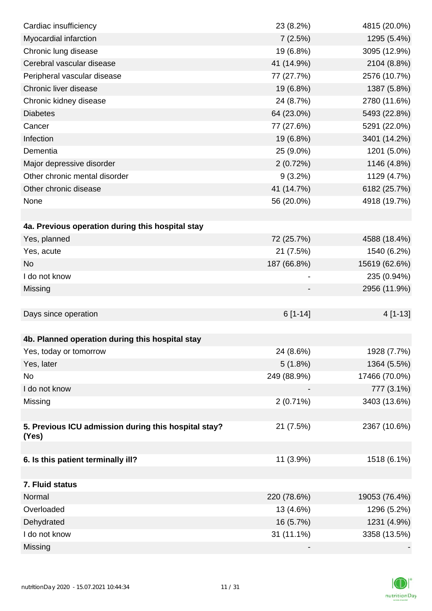| Cardiac insufficiency                                | 23 (8.2%)   | 4815 (20.0%)  |
|------------------------------------------------------|-------------|---------------|
| Myocardial infarction                                | 7(2.5%)     | 1295 (5.4%)   |
| Chronic lung disease                                 | 19 (6.8%)   | 3095 (12.9%)  |
| Cerebral vascular disease                            | 41 (14.9%)  | 2104 (8.8%)   |
| Peripheral vascular disease                          | 77 (27.7%)  | 2576 (10.7%)  |
| Chronic liver disease                                | 19 (6.8%)   | 1387 (5.8%)   |
| Chronic kidney disease                               | 24 (8.7%)   | 2780 (11.6%)  |
| <b>Diabetes</b>                                      | 64 (23.0%)  | 5493 (22.8%)  |
| Cancer                                               | 77 (27.6%)  | 5291 (22.0%)  |
| Infection                                            | 19 (6.8%)   | 3401 (14.2%)  |
| Dementia                                             | 25 (9.0%)   | 1201 (5.0%)   |
| Major depressive disorder                            | 2(0.72%)    | 1146 (4.8%)   |
| Other chronic mental disorder                        | $9(3.2\%)$  | 1129 (4.7%)   |
| Other chronic disease                                | 41 (14.7%)  | 6182 (25.7%)  |
| None                                                 | 56 (20.0%)  | 4918 (19.7%)  |
|                                                      |             |               |
| 4a. Previous operation during this hospital stay     |             |               |
| Yes, planned                                         | 72 (25.7%)  | 4588 (18.4%)  |
| Yes, acute                                           | 21 (7.5%)   | 1540 (6.2%)   |
| <b>No</b>                                            | 187 (66.8%) | 15619 (62.6%) |
| I do not know                                        |             | 235 (0.94%)   |
| Missing                                              |             | 2956 (11.9%)  |
|                                                      |             |               |
| Days since operation                                 | $6[1-14]$   | 4 [1-13]      |
|                                                      |             |               |
| 4b. Planned operation during this hospital stay      |             |               |
| Yes, today or tomorrow                               | 24 (8.6%)   | 1928 (7.7%)   |
| Yes, later                                           | 5(1.8%)     | 1364 (5.5%)   |
| No                                                   | 249 (88.9%) | 17466 (70.0%) |
| I do not know                                        |             | 777 (3.1%)    |
| Missing                                              | $2(0.71\%)$ | 3403 (13.6%)  |
|                                                      |             |               |
| 5. Previous ICU admission during this hospital stay? | 21 (7.5%)   | 2367 (10.6%)  |
| (Yes)                                                |             |               |
| 6. Is this patient terminally ill?                   | 11 (3.9%)   | 1518 (6.1%)   |
|                                                      |             |               |
| 7. Fluid status                                      |             |               |
| Normal                                               | 220 (78.6%) | 19053 (76.4%) |
| Overloaded                                           | 13 (4.6%)   | 1296 (5.2%)   |
| Dehydrated                                           | 16 (5.7%)   | 1231 (4.9%)   |
| I do not know                                        | 31 (11.1%)  | 3358 (13.5%)  |
| Missing                                              |             |               |
|                                                      |             |               |

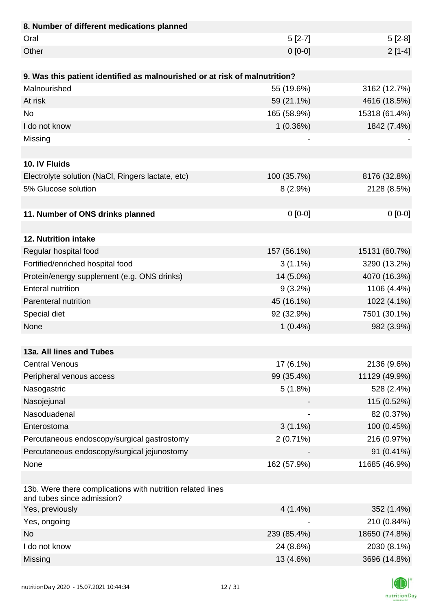| 8. Number of different medications planned                                               |             |               |
|------------------------------------------------------------------------------------------|-------------|---------------|
| Oral                                                                                     | $5[2-7]$    | $5[2-8]$      |
| Other                                                                                    | $0 [0-0]$   | $2[1-4]$      |
|                                                                                          |             |               |
| 9. Was this patient identified as malnourished or at risk of malnutrition?               |             |               |
| Malnourished                                                                             | 55 (19.6%)  | 3162 (12.7%)  |
| At risk                                                                                  | 59 (21.1%)  | 4616 (18.5%)  |
| <b>No</b>                                                                                | 165 (58.9%) | 15318 (61.4%) |
| I do not know                                                                            | 1(0.36%)    | 1842 (7.4%)   |
| Missing                                                                                  |             |               |
|                                                                                          |             |               |
| 10. IV Fluids                                                                            |             |               |
| Electrolyte solution (NaCl, Ringers lactate, etc)                                        | 100 (35.7%) | 8176 (32.8%)  |
| 5% Glucose solution                                                                      | 8(2.9%)     | 2128 (8.5%)   |
|                                                                                          |             |               |
| 11. Number of ONS drinks planned                                                         | $0[0-0]$    | $0[0-0]$      |
|                                                                                          |             |               |
| 12. Nutrition intake                                                                     |             |               |
| Regular hospital food                                                                    | 157 (56.1%) | 15131 (60.7%) |
| Fortified/enriched hospital food                                                         | $3(1.1\%)$  | 3290 (13.2%)  |
| Protein/energy supplement (e.g. ONS drinks)                                              | 14 (5.0%)   | 4070 (16.3%)  |
| <b>Enteral nutrition</b>                                                                 | $9(3.2\%)$  | 1106 (4.4%)   |
| Parenteral nutrition                                                                     | 45 (16.1%)  | 1022 (4.1%)   |
| Special diet                                                                             | 92 (32.9%)  | 7501 (30.1%)  |
| None                                                                                     | $1(0.4\%)$  | 982 (3.9%)    |
|                                                                                          |             |               |
| 13a. All lines and Tubes                                                                 |             |               |
| <b>Central Venous</b>                                                                    | 17 (6.1%)   | 2136 (9.6%)   |
| Peripheral venous access                                                                 | 99 (35.4%)  | 11129 (49.9%) |
| Nasogastric                                                                              | 5(1.8%)     | 528 (2.4%)    |
| Nasojejunal                                                                              |             | 115 (0.52%)   |
| Nasoduadenal                                                                             |             | 82 (0.37%)    |
| Enterostoma                                                                              | $3(1.1\%)$  | 100 (0.45%)   |
| Percutaneous endoscopy/surgical gastrostomy                                              | $2(0.71\%)$ | 216 (0.97%)   |
| Percutaneous endoscopy/surgical jejunostomy                                              |             | 91 (0.41%)    |
| None                                                                                     | 162 (57.9%) | 11685 (46.9%) |
|                                                                                          |             |               |
| 13b. Were there complications with nutrition related lines<br>and tubes since admission? |             |               |
| Yes, previously                                                                          | $4(1.4\%)$  | 352 (1.4%)    |
| Yes, ongoing                                                                             |             | 210 (0.84%)   |
| <b>No</b>                                                                                | 239 (85.4%) | 18650 (74.8%) |
| I do not know                                                                            | 24 (8.6%)   | 2030 (8.1%)   |
| Missing                                                                                  | 13 (4.6%)   | 3696 (14.8%)  |

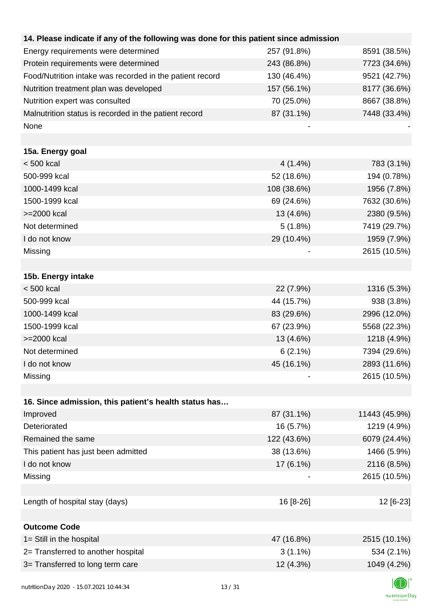| 14. Please indicate if any of the following was done for this patient since admission |             |               |
|---------------------------------------------------------------------------------------|-------------|---------------|
| Energy requirements were determined                                                   | 257 (91.8%) | 8591 (38.5%)  |
| Protein requirements were determined                                                  | 243 (86.8%) | 7723 (34.6%)  |
| Food/Nutrition intake was recorded in the patient record                              | 130 (46.4%) | 9521 (42.7%)  |
| Nutrition treatment plan was developed                                                | 157 (56.1%) | 8177 (36.6%)  |
| Nutrition expert was consulted                                                        | 70 (25.0%)  | 8667 (38.8%)  |
| Malnutrition status is recorded in the patient record                                 | 87 (31.1%)  | 7448 (33.4%)  |
| None                                                                                  |             |               |
|                                                                                       |             |               |
| 15a. Energy goal                                                                      |             |               |
| $< 500$ kcal                                                                          | $4(1.4\%)$  | 783 (3.1%)    |
| 500-999 kcal                                                                          | 52 (18.6%)  | 194 (0.78%)   |
| 1000-1499 kcal                                                                        | 108 (38.6%) | 1956 (7.8%)   |
| 1500-1999 kcal                                                                        | 69 (24.6%)  | 7632 (30.6%)  |
| >=2000 kcal                                                                           | 13 (4.6%)   | 2380 (9.5%)   |
| Not determined                                                                        | 5(1.8%)     | 7419 (29.7%)  |
| I do not know                                                                         | 29 (10.4%)  | 1959 (7.9%)   |
| Missing                                                                               |             | 2615 (10.5%)  |
|                                                                                       |             |               |
| 15b. Energy intake                                                                    |             |               |
| $< 500$ kcal                                                                          | 22 (7.9%)   | 1316 (5.3%)   |
| 500-999 kcal                                                                          | 44 (15.7%)  | 938 (3.8%)    |
| 1000-1499 kcal                                                                        | 83 (29.6%)  | 2996 (12.0%)  |
| 1500-1999 kcal                                                                        | 67 (23.9%)  | 5568 (22.3%)  |
| >=2000 kcal                                                                           | 13 (4.6%)   | 1218 (4.9%)   |
| Not determined                                                                        | $6(2.1\%)$  | 7394 (29.6%)  |
| I do not know                                                                         | 45 (16.1%)  | 2893 (11.6%)  |
| Missing                                                                               |             | 2615 (10.5%)  |
|                                                                                       |             |               |
| 16. Since admission, this patient's health status has                                 |             |               |
| Improved                                                                              | 87 (31.1%)  | 11443 (45.9%) |
| Deteriorated                                                                          | 16 (5.7%)   | 1219 (4.9%)   |
| Remained the same                                                                     | 122 (43.6%) | 6079 (24.4%)  |
| This patient has just been admitted                                                   | 38 (13.6%)  | 1466 (5.9%)   |
| I do not know                                                                         | 17 (6.1%)   | 2116 (8.5%)   |
| Missing                                                                               |             | 2615 (10.5%)  |
|                                                                                       |             |               |
| Length of hospital stay (days)                                                        | 16 [8-26]   | 12 [6-23]     |
|                                                                                       |             |               |
| <b>Outcome Code</b>                                                                   |             |               |
| 1= Still in the hospital                                                              | 47 (16.8%)  | 2515 (10.1%)  |
| 2= Transferred to another hospital                                                    | $3(1.1\%)$  | 534 (2.1%)    |
| 3= Transferred to long term care                                                      | 12 (4.3%)   | 1049 (4.2%)   |
|                                                                                       |             |               |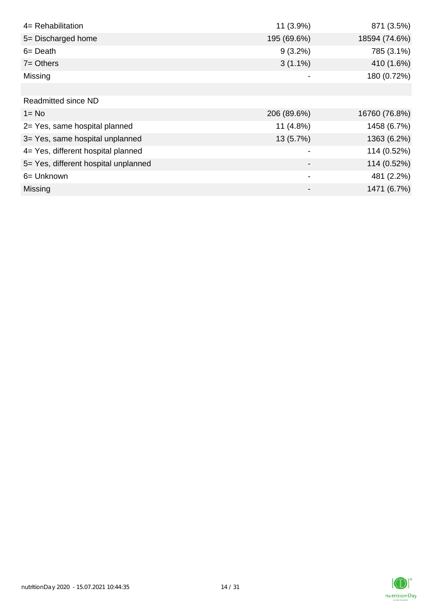| 4= Rehabilitation                    | 11 (3.9%)   | 871 (3.5%)    |
|--------------------------------------|-------------|---------------|
| 5= Discharged home                   | 195 (69.6%) | 18594 (74.6%) |
| $6 = Death$                          | $9(3.2\%)$  | 785 (3.1%)    |
| $7 =$ Others                         | $3(1.1\%)$  | 410 (1.6%)    |
| Missing                              |             | 180 (0.72%)   |
|                                      |             |               |
| Readmitted since ND                  |             |               |
| $1 = No$                             | 206 (89.6%) | 16760 (76.8%) |
| 2= Yes, same hospital planned        | 11 (4.8%)   | 1458 (6.7%)   |
| 3= Yes, same hospital unplanned      | 13 (5.7%)   | 1363 (6.2%)   |
| 4= Yes, different hospital planned   |             | 114 (0.52%)   |
| 5= Yes, different hospital unplanned |             | 114 (0.52%)   |
| 6= Unknown                           |             | 481 (2.2%)    |
| Missing                              |             | 1471 (6.7%)   |

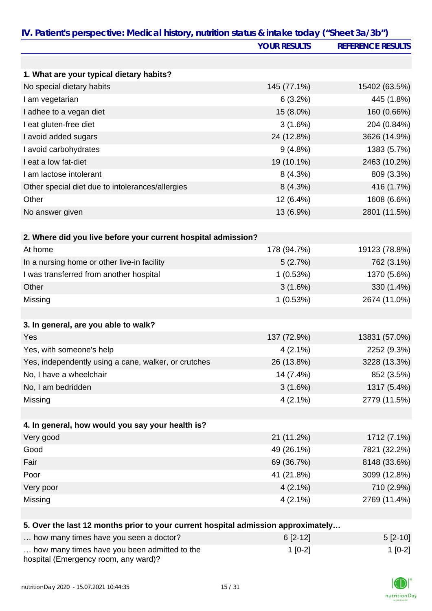|                                                                                   | <b>YOUR RESULTS</b> | <b>REFERENCE RESULTS</b> |
|-----------------------------------------------------------------------------------|---------------------|--------------------------|
|                                                                                   |                     |                          |
| 1. What are your typical dietary habits?                                          |                     |                          |
| No special dietary habits                                                         | 145 (77.1%)         | 15402 (63.5%)            |
| I am vegetarian                                                                   | 6(3.2%)             | 445 (1.8%)               |
| I adhee to a vegan diet                                                           | 15 (8.0%)           | 160 (0.66%)              |
| I eat gluten-free diet                                                            | 3(1.6%)             | 204 (0.84%)              |
| I avoid added sugars                                                              | 24 (12.8%)          | 3626 (14.9%)             |
| I avoid carbohydrates                                                             | 9(4.8%)             | 1383 (5.7%)              |
| I eat a low fat-diet                                                              | 19 (10.1%)          | 2463 (10.2%)             |
| I am lactose intolerant                                                           | 8(4.3%)             | 809 (3.3%)               |
| Other special diet due to intolerances/allergies                                  | 8(4.3%)             | 416 (1.7%)               |
| Other                                                                             | 12 (6.4%)           | 1608 (6.6%)              |
| No answer given                                                                   | 13 (6.9%)           | 2801 (11.5%)             |
| 2. Where did you live before your current hospital admission?                     |                     |                          |
| At home                                                                           | 178 (94.7%)         | 19123 (78.8%)            |
| In a nursing home or other live-in facility                                       | 5(2.7%)             | 762 (3.1%)               |
| I was transferred from another hospital                                           | 1(0.53%)            | 1370 (5.6%)              |
| Other                                                                             | 3(1.6%)             | 330 (1.4%)               |
| Missing                                                                           | 1(0.53%)            | 2674 (11.0%)             |
|                                                                                   |                     |                          |
| 3. In general, are you able to walk?                                              |                     |                          |
| Yes                                                                               | 137 (72.9%)         | 13831 (57.0%)            |
| Yes, with someone's help                                                          | $4(2.1\%)$          | 2252 (9.3%)              |
| Yes, independently using a cane, walker, or crutches                              | 26 (13.8%)          | 3228 (13.3%)             |
| No, I have a wheelchair                                                           | 14 (7.4%)           | 852 (3.5%)               |
| No, I am bedridden                                                                | 3(1.6%)             | 1317 (5.4%)              |
| Missing                                                                           | $4(2.1\%)$          | 2779 (11.5%)             |
| 4. In general, how would you say your health is?                                  |                     |                          |
| Very good                                                                         | 21 (11.2%)          | 1712 (7.1%)              |
| Good                                                                              | 49 (26.1%)          | 7821 (32.2%)             |
| Fair                                                                              | 69 (36.7%)          | 8148 (33.6%)             |
| Poor                                                                              | 41 (21.8%)          | 3099 (12.8%)             |
| Very poor                                                                         | $4(2.1\%)$          | 710 (2.9%)               |
| Missing                                                                           | $4(2.1\%)$          | 2769 (11.4%)             |
|                                                                                   |                     |                          |
| 5. Over the last 12 months prior to your current hospital admission approximately |                     |                          |
| how many times have you seen a doctor?                                            | $6[2-12]$           | $5[2-10]$                |

| now many times have you seen a doctor?                                               | 0 Z-121   | $512 - 101$ |
|--------------------------------------------------------------------------------------|-----------|-------------|
| how many times have you been admitted to the<br>hospital (Emergency room, any ward)? | $1$ [0-2] | 1 [0-2]     |

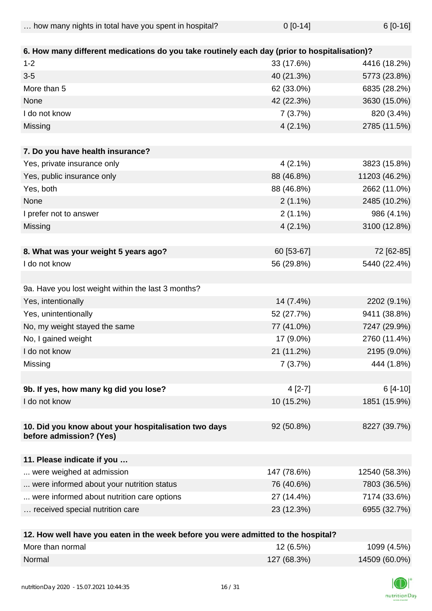| how many nights in total have you spent in hospital? | $0 [0-14]$ | $6[0-16]$ |
|------------------------------------------------------|------------|-----------|
|------------------------------------------------------|------------|-----------|

| 6. How many different medications do you take routinely each day (prior to hospitalisation)? |             |               |
|----------------------------------------------------------------------------------------------|-------------|---------------|
| $1 - 2$                                                                                      | 33 (17.6%)  | 4416 (18.2%)  |
| $3-5$                                                                                        | 40 (21.3%)  | 5773 (23.8%)  |
| More than 5                                                                                  | 62 (33.0%)  | 6835 (28.2%)  |
| None                                                                                         | 42 (22.3%)  | 3630 (15.0%)  |
| I do not know                                                                                | 7(3.7%)     | 820 (3.4%)    |
| Missing                                                                                      | $4(2.1\%)$  | 2785 (11.5%)  |
| 7. Do you have health insurance?                                                             |             |               |
| Yes, private insurance only                                                                  | $4(2.1\%)$  | 3823 (15.8%)  |
| Yes, public insurance only                                                                   | 88 (46.8%)  | 11203 (46.2%) |
| Yes, both                                                                                    | 88 (46.8%)  | 2662 (11.0%)  |
| None                                                                                         | $2(1.1\%)$  | 2485 (10.2%)  |
| I prefer not to answer                                                                       | $2(1.1\%)$  | 986 (4.1%)    |
| Missing                                                                                      | $4(2.1\%)$  | 3100 (12.8%)  |
|                                                                                              |             |               |
| 8. What was your weight 5 years ago?                                                         | 60 [53-67]  | 72 [62-85]    |
| I do not know                                                                                | 56 (29.8%)  | 5440 (22.4%)  |
|                                                                                              |             |               |
| 9a. Have you lost weight within the last 3 months?                                           |             |               |
| Yes, intentionally                                                                           | 14 (7.4%)   | 2202 (9.1%)   |
| Yes, unintentionally                                                                         | 52 (27.7%)  | 9411 (38.8%)  |
| No, my weight stayed the same                                                                | 77 (41.0%)  | 7247 (29.9%)  |
| No, I gained weight                                                                          | 17 (9.0%)   | 2760 (11.4%)  |
| I do not know                                                                                | 21 (11.2%)  | 2195 (9.0%)   |
| Missing                                                                                      | 7(3.7%)     | 444 (1.8%)    |
|                                                                                              |             |               |
| 9b. If yes, how many kg did you lose?                                                        | $4[2-7]$    | 6 [4-10]      |
| I do not know                                                                                | 10 (15.2%)  | 1851 (15.9%)  |
|                                                                                              |             |               |
| 10. Did you know about your hospitalisation two days<br>before admission? (Yes)              | 92 (50.8%)  | 8227 (39.7%)  |
|                                                                                              |             |               |
| 11. Please indicate if you                                                                   |             |               |
| were weighed at admission                                                                    | 147 (78.6%) | 12540 (58.3%) |
| were informed about your nutrition status                                                    | 76 (40.6%)  | 7803 (36.5%)  |
| were informed about nutrition care options                                                   | 27 (14.4%)  | 7174 (33.6%)  |
| received special nutrition care                                                              | 23 (12.3%)  | 6955 (32.7%)  |
|                                                                                              |             |               |
| 12 How wall have you eaten in the week before you were admitted to the heapital?             |             |               |

| 12. How well have you eaten in the week before you were admitted to the hospital? |             |               |
|-----------------------------------------------------------------------------------|-------------|---------------|
| More than normal                                                                  | $12(6.5\%)$ | 1099 (4.5%)   |
| Normal                                                                            | 127 (68.3%) | 14509 (60.0%) |

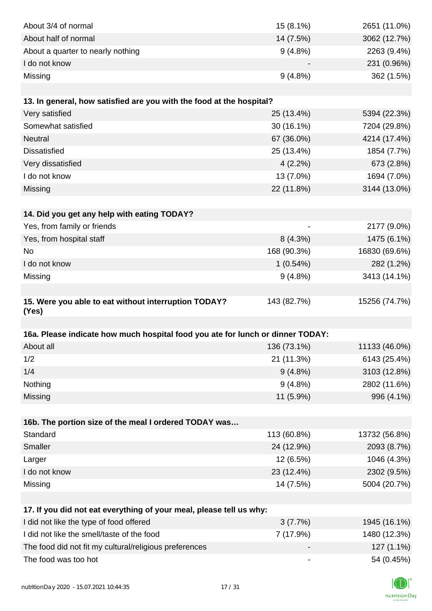| About 3/4 of normal                                                            | 15 (8.1%)                    | 2651 (11.0%)  |
|--------------------------------------------------------------------------------|------------------------------|---------------|
| About half of normal                                                           | 14 (7.5%)                    | 3062 (12.7%)  |
| About a quarter to nearly nothing                                              | 9(4.8%)                      | 2263 (9.4%)   |
| I do not know                                                                  |                              | 231 (0.96%)   |
| Missing                                                                        | 9(4.8%)                      | 362 (1.5%)    |
|                                                                                |                              |               |
| 13. In general, how satisfied are you with the food at the hospital?           |                              |               |
| Very satisfied                                                                 | 25 (13.4%)                   | 5394 (22.3%)  |
| Somewhat satisfied                                                             | 30 (16.1%)                   | 7204 (29.8%)  |
| Neutral                                                                        | 67 (36.0%)                   | 4214 (17.4%)  |
| <b>Dissatisfied</b>                                                            | 25 (13.4%)                   | 1854 (7.7%)   |
| Very dissatisfied                                                              | 4(2.2%)                      | 673 (2.8%)    |
| I do not know                                                                  | 13 (7.0%)                    | 1694 (7.0%)   |
| Missing                                                                        | 22 (11.8%)                   | 3144 (13.0%)  |
|                                                                                |                              |               |
| 14. Did you get any help with eating TODAY?                                    |                              |               |
| Yes, from family or friends                                                    |                              | 2177 (9.0%)   |
| Yes, from hospital staff                                                       | 8(4.3%)                      | 1475 (6.1%)   |
| No                                                                             | 168 (90.3%)                  | 16830 (69.6%) |
| I do not know                                                                  | 1(0.54%)                     | 282 (1.2%)    |
| Missing                                                                        | $9(4.8\%)$                   | 3413 (14.1%)  |
|                                                                                |                              |               |
| 15. Were you able to eat without interruption TODAY?<br>(Yes)                  | 143 (82.7%)                  | 15256 (74.7%) |
|                                                                                |                              |               |
| 16a. Please indicate how much hospital food you ate for lunch or dinner TODAY: |                              |               |
| About all                                                                      | 136 (73.1%)                  | 11133 (46.0%) |
| 1/2                                                                            | 21 (11.3%)                   | 6143 (25.4%)  |
| 1/4                                                                            | $9(4.8\%)$                   | 3103 (12.8%)  |
| Nothing                                                                        | 9(4.8%)                      | 2802 (11.6%)  |
| Missing                                                                        | 11 (5.9%)                    | 996 (4.1%)    |
|                                                                                |                              |               |
| 16b. The portion size of the meal I ordered TODAY was                          |                              |               |
| Standard                                                                       | 113 (60.8%)                  | 13732 (56.8%) |
| Smaller                                                                        | 24 (12.9%)                   | 2093 (8.7%)   |
| Larger                                                                         | 12 (6.5%)                    | 1046 (4.3%)   |
| I do not know                                                                  | 23 (12.4%)                   | 2302 (9.5%)   |
| Missing                                                                        | 14 (7.5%)                    | 5004 (20.7%)  |
|                                                                                |                              |               |
| 17. If you did not eat everything of your meal, please tell us why:            |                              |               |
| I did not like the type of food offered                                        | 3(7.7%)                      | 1945 (16.1%)  |
| I did not like the smell/taste of the food                                     | 7 (17.9%)                    | 1480 (12.3%)  |
| The food did not fit my cultural/religious preferences                         |                              | 127 (1.1%)    |
| The food was too hot                                                           | $\qquad \qquad \blacksquare$ | 54 (0.45%)    |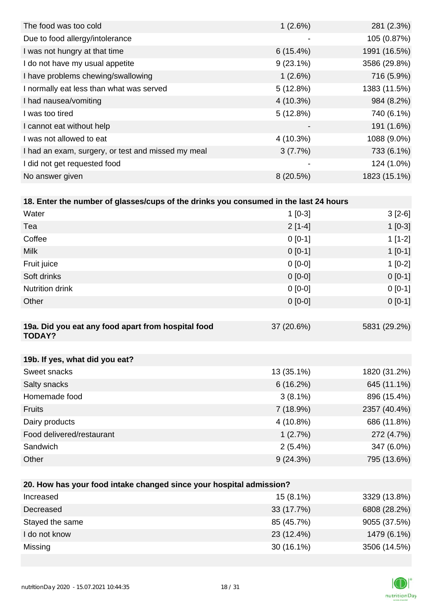| 1(2.6%)                  | 281 (2.3%)   |
|--------------------------|--------------|
|                          | 105 (0.87%)  |
| $6(15.4\%)$              | 1991 (16.5%) |
| $9(23.1\%)$              | 3586 (29.8%) |
| 1(2.6%)                  | 716 (5.9%)   |
| 5(12.8%)                 | 1383 (11.5%) |
| $4(10.3\%)$              | 984 (8.2%)   |
| 5(12.8%)                 | 740 (6.1%)   |
| $\overline{\phantom{0}}$ | 191 (1.6%)   |
| 4 (10.3%)                | 1088 (9.0%)  |
| 3(7.7%)                  | 733 (6.1%)   |
| -                        | 124 (1.0%)   |
| 8(20.5%)                 | 1823 (15.1%) |
|                          |              |

| Water                                                               | $1[0-3]$    | $3[2-6]$       |
|---------------------------------------------------------------------|-------------|----------------|
| Tea                                                                 | $2[1-4]$    | $1[0-3]$       |
| Coffee                                                              | $0 [0-1]$   | $1[1-2]$       |
| <b>Milk</b>                                                         | $0 [0-1]$   | $1[0-1]$       |
| Fruit juice                                                         | $0 [0-0]$   | $1[0-2]$       |
| Soft drinks                                                         | $0 [0-0]$   | $0 [0-1]$      |
| <b>Nutrition drink</b>                                              | $0 [0-0]$   | $0[0-1]$       |
| Other                                                               | $0[0-0]$    | $0 [0-1]$      |
|                                                                     |             |                |
| 19a. Did you eat any food apart from hospital food<br><b>TODAY?</b> | 37 (20.6%)  | 5831 (29.2%)   |
| 19b. If yes, what did you eat?                                      |             |                |
| Sweet snacks                                                        | 13 (35.1%)  | 1820 (31.2%)   |
| Salty snacks                                                        | 6(16.2%)    | 645 (11.1%)    |
| Homemade food                                                       | $3(8.1\%)$  | 896 (15.4%)    |
| <b>Fruits</b>                                                       | 7 (18.9%)   | 2357 (40.4%)   |
| Dairy products                                                      | $4(10.8\%)$ | 686 (11.8%)    |
| Food delivered/restaurant                                           | 1(2.7%)     | 272 (4.7%)     |
| Sandwich                                                            | $2(5.4\%)$  | 347 (6.0%)     |
| Other                                                               | 9(24.3%)    | 795 (13.6%)    |
|                                                                     |             |                |
| 20. How has your food intake changed since your hospital admission? |             |                |
| Increased                                                           | $15(81\%)$  | $3329(13.8\%)$ |

| Increased       | $15(8.1\%)$  | 3329 (13.8%) |
|-----------------|--------------|--------------|
| Decreased       | 33(17.7%)    | 6808 (28.2%) |
| Stayed the same | 85 (45.7%)   | 9055 (37.5%) |
| l do not know   | 23 (12.4%)   | 1479 (6.1%)  |
| Missing         | $30(16.1\%)$ | 3506 (14.5%) |

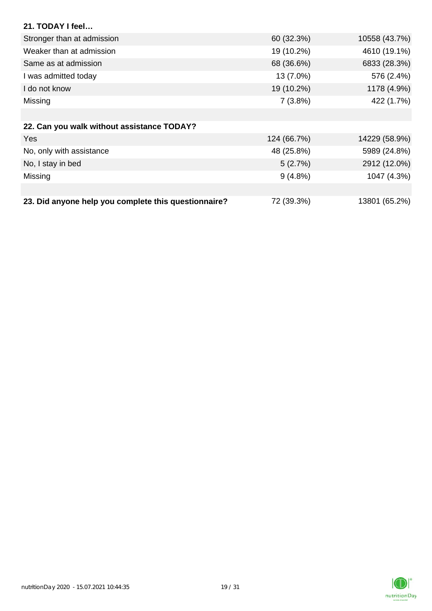| 21. TODAY I feel                                     |             |               |
|------------------------------------------------------|-------------|---------------|
| Stronger than at admission                           | 60 (32.3%)  | 10558 (43.7%) |
| Weaker than at admission                             | 19 (10.2%)  | 4610 (19.1%)  |
| Same as at admission                                 | 68 (36.6%)  | 6833 (28.3%)  |
| I was admitted today                                 | 13 (7.0%)   | 576 (2.4%)    |
| I do not know                                        | 19 (10.2%)  | 1178 (4.9%)   |
| Missing                                              | 7(3.8%)     | 422 (1.7%)    |
|                                                      |             |               |
| 22. Can you walk without assistance TODAY?           |             |               |
| <b>Yes</b>                                           | 124 (66.7%) | 14229 (58.9%) |
| No, only with assistance                             | 48 (25.8%)  | 5989 (24.8%)  |
| No, I stay in bed                                    | 5(2.7%)     | 2912 (12.0%)  |
| Missing                                              | $9(4.8\%)$  | 1047 (4.3%)   |
|                                                      |             |               |
| 23. Did anyone help you complete this questionnaire? | 72 (39.3%)  | 13801 (65.2%) |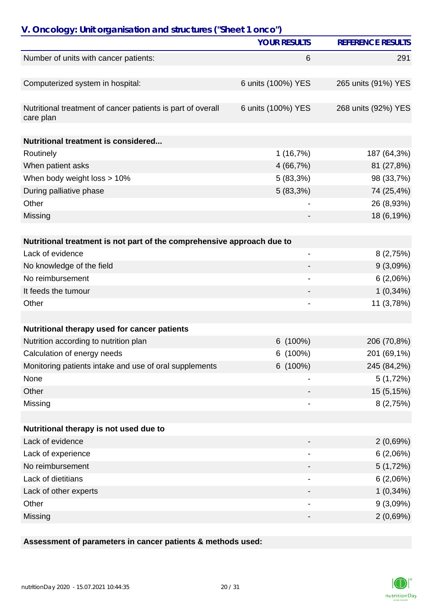| V. Oncology: Unit organisation and structures ("Sheet 1 onco")           |                     |                          |
|--------------------------------------------------------------------------|---------------------|--------------------------|
|                                                                          | <b>YOUR RESULTS</b> | <b>REFERENCE RESULTS</b> |
| Number of units with cancer patients:                                    | 6                   | 291                      |
| Computerized system in hospital:                                         | 6 units (100%) YES  | 265 units (91%) YES      |
| Nutritional treatment of cancer patients is part of overall<br>care plan | 6 units (100%) YES  | 268 units (92%) YES      |
| Nutritional treatment is considered                                      |                     |                          |
| Routinely                                                                | 1(16,7%)            | 187 (64,3%)              |
| When patient asks                                                        | 4 (66,7%)           | 81 (27,8%)               |
| When body weight loss > 10%                                              | 5(83,3%)            | 98 (33,7%)               |
| During palliative phase                                                  | 5(83,3%)            | 74 (25,4%)               |
| Other                                                                    |                     | 26 (8,93%)               |
| Missing                                                                  |                     | 18 (6,19%)               |
| Nutritional treatment is not part of the comprehensive approach due to   |                     |                          |
| Lack of evidence                                                         |                     | 8(2,75%)                 |
| No knowledge of the field                                                |                     | 9(3,09%)                 |
| No reimbursement                                                         |                     | 6(2,06%)                 |
| It feeds the tumour                                                      |                     | $1(0,34\%)$              |
| Other                                                                    | $\overline{a}$      | 11 (3,78%)               |
|                                                                          |                     |                          |
| Nutritional therapy used for cancer patients                             |                     |                          |
| Nutrition according to nutrition plan                                    | $6(100\%)$          | 206 (70,8%)              |
| Calculation of energy needs                                              | 6(100%)             | 201 (69,1%)              |
| Monitoring patients intake and use of oral supplements                   | 6 (100%)            | 245 (84,2%)              |
| None                                                                     |                     | 5(1,72%)                 |
| Other                                                                    |                     | 15 (5,15%)               |
| Missing                                                                  | -                   | 8(2,75%)                 |
| Nutritional therapy is not used due to                                   |                     |                          |
| Lack of evidence                                                         |                     | 2(0,69%)                 |
| Lack of experience                                                       |                     | 6(2,06%)                 |
| No reimbursement                                                         |                     | 5(1,72%)                 |
| Lack of dietitians                                                       |                     | 6(2,06%)                 |
| Lack of other experts                                                    |                     | $1(0,34\%)$              |
| Other                                                                    | -                   | 9(3,09%)                 |
| Missing                                                                  | -                   | 2(0,69%)                 |

**Assessment of parameters in cancer patients & methods used:**

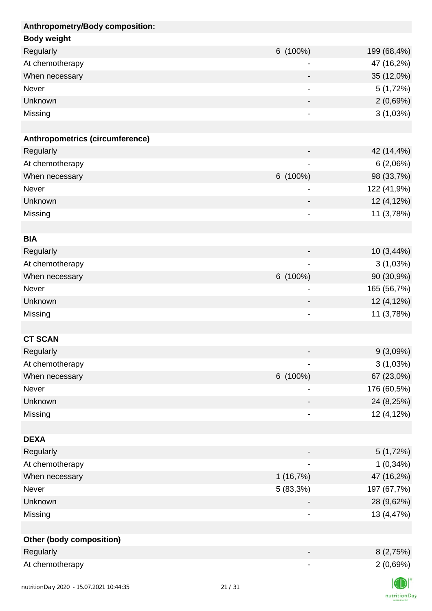| Anthropometry/Body composition: |                          |             |
|---------------------------------|--------------------------|-------------|
| <b>Body weight</b>              |                          |             |
| Regularly                       | 6 (100%)                 | 199 (68,4%) |
| At chemotherapy                 |                          | 47 (16,2%)  |
| When necessary                  |                          | 35 (12,0%)  |
| Never                           |                          | 5(1,72%)    |
| Unknown                         |                          | 2(0,69%)    |
| Missing                         |                          | 3(1,03%)    |
|                                 |                          |             |
| Anthropometrics (circumference) |                          |             |
| Regularly                       |                          | 42 (14,4%)  |
| At chemotherapy                 | $\blacksquare$           | 6(2,06%)    |
| When necessary                  | 6 (100%)                 | 98 (33,7%)  |
| Never                           | $\overline{a}$           | 122 (41,9%) |
| Unknown                         |                          | 12 (4,12%)  |
| Missing                         | $\overline{a}$           | 11 (3,78%)  |
|                                 |                          |             |
| <b>BIA</b>                      |                          |             |
| Regularly                       |                          | 10 (3,44%)  |
| At chemotherapy                 | ۰                        | 3(1,03%)    |
| When necessary                  | 6 (100%)                 | 90 (30,9%)  |
| Never                           |                          | 165 (56,7%) |
| Unknown                         |                          | 12 (4,12%)  |
| Missing                         |                          | 11 (3,78%)  |
|                                 |                          |             |
| <b>CT SCAN</b>                  |                          |             |
| Regularly                       |                          | 9(3,09%)    |
| At chemotherapy                 |                          | 3(1,03%)    |
| When necessary                  | 6 (100%)                 | 67 (23,0%)  |
| Never                           |                          | 176 (60,5%) |
| Unknown                         |                          | 24 (8,25%)  |
| Missing                         |                          | 12 (4,12%)  |
|                                 |                          |             |
| <b>DEXA</b>                     |                          |             |
| Regularly                       |                          | 5(1,72%)    |
| At chemotherapy                 | ۰                        | $1(0,34\%)$ |
| When necessary                  | 1(16,7%)                 | 47 (16,2%)  |
| Never                           | 5 (83,3%)                | 197 (67,7%) |
| Unknown                         |                          | 28 (9,62%)  |
| Missing                         |                          | 13 (4,47%)  |
|                                 |                          |             |
| <b>Other (body composition)</b> |                          |             |
| Regularly                       |                          | 8(2,75%)    |
| At chemotherapy                 | $\overline{\phantom{a}}$ | 2(0,69%)    |
|                                 |                          | $\sqrt{N}$  |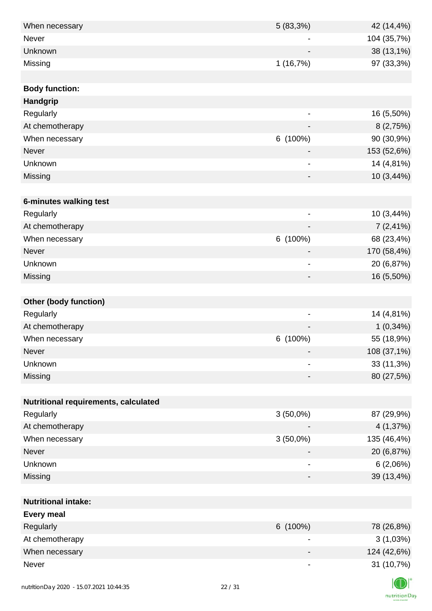| When necessary                       | 5(83,3%)                     | 42 (14,4%)  |
|--------------------------------------|------------------------------|-------------|
| Never                                |                              | 104 (35,7%) |
| Unknown                              |                              | 38 (13,1%)  |
| Missing                              | 1(16,7%)                     | 97 (33,3%)  |
|                                      |                              |             |
| <b>Body function:</b>                |                              |             |
| Handgrip                             |                              |             |
| Regularly                            | -                            | 16 (5,50%)  |
| At chemotherapy                      |                              | 8(2,75%)    |
| When necessary                       | 6 (100%)                     | 90 (30,9%)  |
| Never                                |                              | 153 (52,6%) |
| Unknown                              | $\qquad \qquad \blacksquare$ | 14 (4,81%)  |
| Missing                              |                              | 10 (3,44%)  |
|                                      |                              |             |
| 6-minutes walking test               |                              |             |
| Regularly                            |                              | 10 (3,44%)  |
| At chemotherapy                      |                              | $7(2,41\%)$ |
| When necessary                       | 6 (100%)                     | 68 (23,4%)  |
| Never                                |                              | 170 (58,4%) |
| Unknown                              | $\qquad \qquad \blacksquare$ | 20 (6,87%)  |
| Missing                              | $\overline{\phantom{0}}$     | 16 (5,50%)  |
|                                      |                              |             |
| <b>Other (body function)</b>         |                              |             |
| Regularly                            | $\overline{\phantom{0}}$     | 14 (4,81%)  |
| At chemotherapy                      |                              | $1(0,34\%)$ |
| When necessary                       | 6 (100%)                     | 55 (18,9%)  |
| Never                                |                              | 108 (37,1%) |
| Unknown                              | -                            | 33 (11,3%)  |
| Missing                              | -                            | 80 (27,5%)  |
|                                      |                              |             |
| Nutritional requirements, calculated |                              |             |
| Regularly                            | $3(50,0\%)$                  | 87 (29,9%)  |
| At chemotherapy                      |                              | 4 (1,37%)   |
| When necessary                       | $3(50,0\%)$                  | 135 (46,4%) |
| Never                                |                              | 20 (6,87%)  |
| Unknown                              | $\qquad \qquad \blacksquare$ | 6(2,06%)    |
| Missing                              |                              | 39 (13,4%)  |
|                                      |                              |             |
| <b>Nutritional intake:</b>           |                              |             |
| <b>Every meal</b>                    |                              |             |
| Regularly                            | 6 (100%)                     | 78 (26,8%)  |
| At chemotherapy                      |                              | 3(1,03%)    |
| When necessary                       |                              | 124 (42,6%) |
| Never                                | $\overline{\phantom{a}}$     | 31 (10,7%)  |
|                                      |                              |             |
|                                      | 22.121                       |             |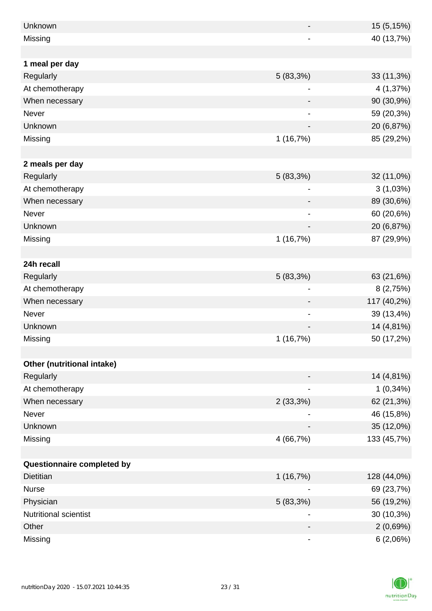| Unknown                    | $\overline{\phantom{0}}$     | 15 (5,15%)  |
|----------------------------|------------------------------|-------------|
| Missing                    |                              | 40 (13,7%)  |
|                            |                              |             |
| 1 meal per day             |                              |             |
| Regularly                  | 5(83,3%)                     | 33 (11,3%)  |
| At chemotherapy            | $\overline{\phantom{a}}$     | 4 (1,37%)   |
| When necessary             |                              | 90 (30,9%)  |
| Never                      |                              | 59 (20,3%)  |
| Unknown                    |                              | 20 (6,87%)  |
| Missing                    | 1(16,7%)                     | 85 (29,2%)  |
|                            |                              |             |
| 2 meals per day            |                              |             |
| Regularly                  | 5(83,3%)                     | 32 (11,0%)  |
| At chemotherapy            |                              | 3(1,03%)    |
| When necessary             |                              | 89 (30,6%)  |
| Never                      |                              | 60 (20,6%)  |
| Unknown                    |                              | 20 (6,87%)  |
| Missing                    | 1(16,7%)                     | 87 (29,9%)  |
|                            |                              |             |
| 24h recall                 |                              |             |
| Regularly                  | 5(83,3%)                     | 63 (21,6%)  |
| At chemotherapy            | $\overline{\phantom{a}}$     | 8(2,75%)    |
| When necessary             |                              | 117 (40,2%) |
| Never                      | $\qquad \qquad \blacksquare$ | 39 (13,4%)  |
| <b>Unknown</b>             |                              | 14 (4,81%)  |
| Missing                    | 1(16,7%)                     | 50 (17,2%)  |
|                            |                              |             |
| Other (nutritional intake) |                              |             |
| Regularly                  |                              | 14 (4,81%)  |
| At chemotherapy            | $\qquad \qquad \blacksquare$ | $1(0,34\%)$ |
| When necessary             | 2(33,3%)                     | 62 (21,3%)  |
| Never                      |                              | 46 (15,8%)  |
| Unknown                    |                              | 35 (12,0%)  |
| Missing                    | 4 (66,7%)                    | 133 (45,7%) |
|                            |                              |             |
| Questionnaire completed by |                              |             |
| <b>Dietitian</b>           | 1(16,7%)                     | 128 (44,0%) |
| <b>Nurse</b>               |                              | 69 (23,7%)  |
| Physician                  | 5(83,3%)                     | 56 (19,2%)  |
| Nutritional scientist      |                              | 30 (10,3%)  |
| Other                      |                              | 2(0,69%)    |
| Missing                    |                              | 6(2,06%)    |

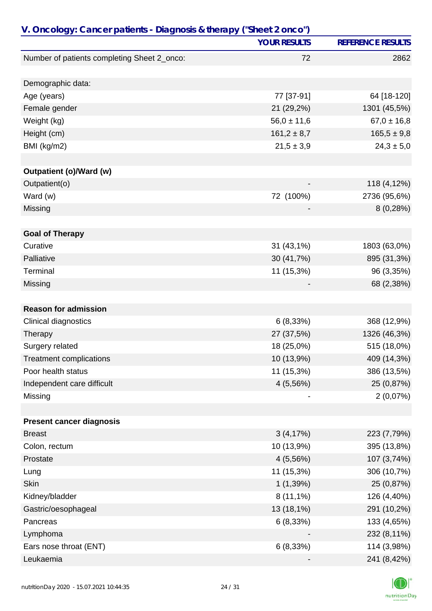| V. Oncology: Cancer patients - Diagnosis & therapy ("Sheet 2 onco") |                     |                          |
|---------------------------------------------------------------------|---------------------|--------------------------|
|                                                                     | <b>YOUR RESULTS</b> | <b>REFERENCE RESULTS</b> |
| Number of patients completing Sheet 2_onco:                         | 72                  | 2862                     |
|                                                                     |                     |                          |
| Demographic data:                                                   |                     |                          |
| Age (years)                                                         | 77 [37-91]          | 64 [18-120]              |
| Female gender                                                       | 21 (29,2%)          | 1301 (45,5%)             |
| Weight (kg)                                                         | $56,0 \pm 11,6$     | $67,0 \pm 16,8$          |
| Height (cm)                                                         | $161,2 \pm 8,7$     | $165,5 \pm 9,8$          |
| BMI (kg/m2)                                                         | $21,5 \pm 3,9$      | $24,3 \pm 5,0$           |
|                                                                     |                     |                          |
| <b>Outpatient (o)/Ward (w)</b>                                      |                     |                          |
| Outpatient(o)                                                       |                     | 118 (4,12%)              |
| Ward (w)                                                            | 72 (100%)           | 2736 (95,6%)             |
| Missing                                                             |                     | 8(0,28%)                 |
| <b>Goal of Therapy</b>                                              |                     |                          |
| Curative                                                            | 31 (43,1%)          | 1803 (63,0%)             |
| Palliative                                                          | 30 (41,7%)          | 895 (31,3%)              |
| Terminal                                                            | 11 (15,3%)          | 96 (3,35%)               |
| Missing                                                             |                     | 68 (2,38%)               |
|                                                                     |                     |                          |
| <b>Reason for admission</b>                                         |                     |                          |
| Clinical diagnostics                                                | 6(8,33%)            | 368 (12,9%)              |
| Therapy                                                             | 27 (37,5%)          | 1326 (46,3%)             |
| Surgery related                                                     | 18 (25,0%)          | 515 (18,0%)              |
| <b>Treatment complications</b>                                      | 10 (13,9%)          | 409 (14,3%)              |
| Poor health status                                                  | 11 (15,3%)          | 386 (13,5%)              |
| Independent care difficult                                          | 4(5,56%)            | 25 (0,87%)               |
| Missing                                                             |                     | 2(0,07%)                 |
|                                                                     |                     |                          |
| <b>Present cancer diagnosis</b>                                     |                     |                          |
| <b>Breast</b>                                                       | 3(4,17%)            | 223 (7,79%)              |
| Colon, rectum                                                       | 10 (13,9%)          | 395 (13,8%)              |
| Prostate                                                            | 4(5,56%)            | 107 (3,74%)              |
| Lung                                                                | 11 (15,3%)          | 306 (10,7%)              |
| <b>Skin</b>                                                         | 1(1,39%)            | 25 (0,87%)               |
| Kidney/bladder                                                      | $8(11,1\%)$         | 126 (4,40%)              |
| Gastric/oesophageal                                                 | 13 (18,1%)          | 291 (10,2%)              |
| Pancreas                                                            | 6(8,33%)            | 133 (4,65%)              |
| Lymphoma                                                            |                     | 232 (8,11%)              |
| Ears nose throat (ENT)                                              | 6(8,33%)            | 114 (3,98%)              |
| Leukaemia                                                           |                     | 241 (8,42%)              |

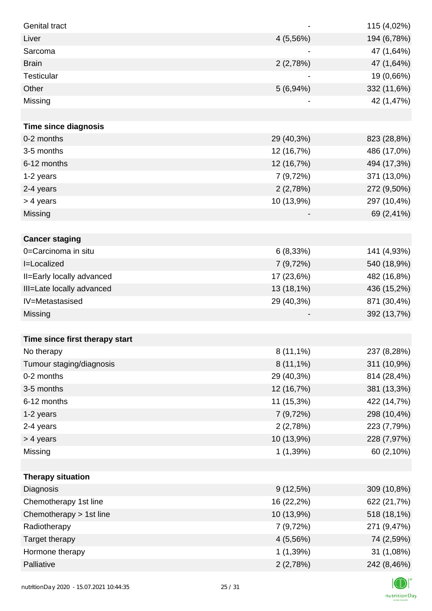| <b>Genital tract</b>           |                          | 115 (4,02%) |
|--------------------------------|--------------------------|-------------|
| Liver                          | 4 (5,56%)                | 194 (6,78%) |
| Sarcoma                        |                          | 47 (1,64%)  |
| <b>Brain</b>                   | 2(2,78%)                 | 47 (1,64%)  |
| Testicular                     |                          | 19 (0,66%)  |
| Other                          | 5(6,94%)                 | 332 (11,6%) |
| Missing                        | $\overline{\phantom{a}}$ | 42 (1,47%)  |
|                                |                          |             |
| <b>Time since diagnosis</b>    |                          |             |
| 0-2 months                     | 29 (40,3%)               | 823 (28,8%) |
| 3-5 months                     | 12 (16,7%)               | 486 (17,0%) |
| 6-12 months                    | 12 (16,7%)               | 494 (17,3%) |
| 1-2 years                      | 7 (9,72%)                | 371 (13,0%) |
| 2-4 years                      | 2(2,78%)                 | 272 (9,50%) |
| > 4 years                      | 10 (13,9%)               | 297 (10,4%) |
| Missing                        |                          | 69 (2,41%)  |
|                                |                          |             |
| <b>Cancer staging</b>          |                          |             |
| 0=Carcinoma in situ            | 6(8,33%)                 | 141 (4,93%) |
| I=Localized                    | 7 (9,72%)                | 540 (18,9%) |
| II=Early locally advanced      | 17 (23,6%)               | 482 (16,8%) |
| III=Late locally advanced      | 13 (18,1%)               | 436 (15,2%) |
| IV=Metastasised                | 29 (40,3%)               | 871 (30,4%) |
| Missing                        |                          | 392 (13,7%) |
|                                |                          |             |
| Time since first therapy start |                          |             |
| No therapy                     | $8(11,1\%)$              | 237 (8,28%) |
| Tumour staging/diagnosis       | $8(11,1\%)$              | 311 (10,9%) |
| 0-2 months                     | 29 (40,3%)               | 814 (28,4%) |
| 3-5 months                     | 12 (16,7%)               | 381 (13,3%) |
| 6-12 months                    | 11 (15,3%)               | 422 (14,7%) |
| 1-2 years                      | 7 (9,72%)                | 298 (10,4%) |
| 2-4 years                      | 2(2,78%)                 | 223 (7,79%) |
| > 4 years                      | 10 (13,9%)               | 228 (7,97%) |
| Missing                        | 1(1,39%)                 | 60 (2,10%)  |
|                                |                          |             |
| <b>Therapy situation</b>       |                          |             |
| Diagnosis                      | $9(12,5\%)$              | 309 (10,8%) |
| Chemotherapy 1st line          | 16 (22,2%)               | 622 (21,7%) |
| Chemotherapy > 1st line        | 10 (13,9%)               | 518 (18,1%) |
| Radiotherapy                   | 7 (9,72%)                | 271 (9,47%) |
| Target therapy                 | 4 (5,56%)                | 74 (2,59%)  |
| Hormone therapy                | 1(1,39%)                 | 31 (1,08%)  |
| Palliative                     | 2(2,78%)                 | 242 (8,46%) |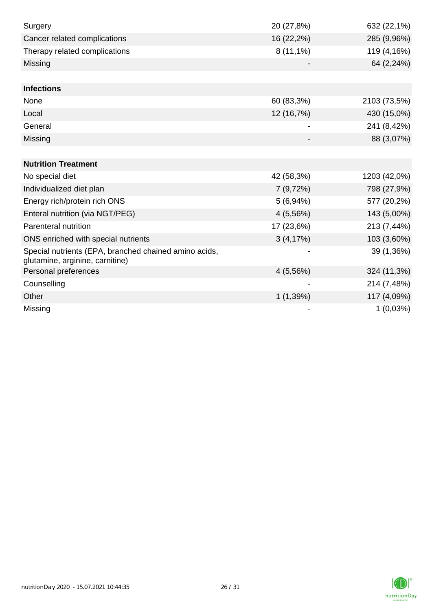| Surgery                                                                                  | 20 (27,8%)  | 632 (22,1%)  |
|------------------------------------------------------------------------------------------|-------------|--------------|
| Cancer related complications                                                             | 16 (22,2%)  | 285 (9,96%)  |
| Therapy related complications                                                            | $8(11,1\%)$ | 119 (4,16%)  |
| Missing                                                                                  |             | 64 (2,24%)   |
|                                                                                          |             |              |
| <b>Infections</b>                                                                        |             |              |
| None                                                                                     | 60 (83,3%)  | 2103 (73,5%) |
| Local                                                                                    | 12 (16,7%)  | 430 (15,0%)  |
| General                                                                                  |             | 241 (8,42%)  |
| Missing                                                                                  |             | 88 (3,07%)   |
|                                                                                          |             |              |
| <b>Nutrition Treatment</b>                                                               |             |              |
| No special diet                                                                          | 42 (58,3%)  | 1203 (42,0%) |
| Individualized diet plan                                                                 | 7(9,72%)    | 798 (27,9%)  |
| Energy rich/protein rich ONS                                                             | 5(6,94%)    | 577 (20,2%)  |
| Enteral nutrition (via NGT/PEG)                                                          | 4(5,56%)    | 143 (5,00%)  |
| Parenteral nutrition                                                                     | 17 (23,6%)  | 213 (7,44%)  |
| ONS enriched with special nutrients                                                      | 3(4,17%)    | 103 (3,60%)  |
| Special nutrients (EPA, branched chained amino acids,<br>glutamine, arginine, carnitine) |             | 39 (1,36%)   |
| Personal preferences                                                                     | 4(5,56%)    | 324 (11,3%)  |
| Counselling                                                                              |             | 214 (7,48%)  |
| Other                                                                                    | 1(1,39%)    | 117 (4,09%)  |
| Missing                                                                                  |             | 1(0,03%)     |

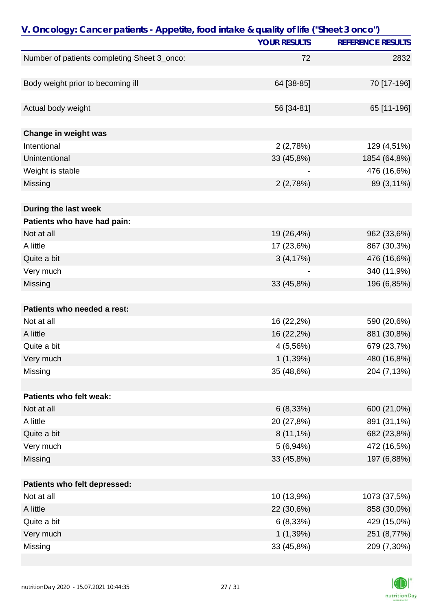| V. Oncology: Cancer patients - Appetite, food intake & quality of life ("Sheet 3 onco") |                     |                          |
|-----------------------------------------------------------------------------------------|---------------------|--------------------------|
|                                                                                         | <b>YOUR RESULTS</b> | <b>REFERENCE RESULTS</b> |
| Number of patients completing Sheet 3_onco:                                             | 72                  | 2832                     |
|                                                                                         |                     |                          |
| Body weight prior to becoming ill                                                       | 64 [38-85]          | 70 [17-196]              |
|                                                                                         |                     |                          |
| Actual body weight                                                                      | 56 [34-81]          | 65 [11-196]              |
| Change in weight was                                                                    |                     |                          |
| Intentional                                                                             | 2(2,78%)            | 129 (4,51%)              |
| Unintentional                                                                           | 33 (45,8%)          | 1854 (64,8%)             |
| Weight is stable                                                                        |                     | 476 (16,6%)              |
| Missing                                                                                 | 2(2,78%)            | 89 (3,11%)               |
|                                                                                         |                     |                          |
| During the last week                                                                    |                     |                          |
| Patients who have had pain:                                                             |                     |                          |
| Not at all                                                                              | 19 (26,4%)          | 962 (33,6%)              |
| A little                                                                                | 17 (23,6%)          | 867 (30,3%)              |
| Quite a bit                                                                             | 3(4,17%)            | 476 (16,6%)              |
| Very much                                                                               |                     | 340 (11,9%)              |
| Missing                                                                                 | 33 (45,8%)          | 196 (6,85%)              |
|                                                                                         |                     |                          |
| Patients who needed a rest:                                                             |                     |                          |
| Not at all                                                                              | 16 (22,2%)          | 590 (20,6%)              |
| A little                                                                                | 16 (22,2%)          | 881 (30,8%)              |
| Quite a bit                                                                             | 4(5,56%)            | 679 (23,7%)              |
| Very much                                                                               | 1(1,39%)            | 480 (16,8%)              |
| Missing                                                                                 | 35 (48,6%)          | 204 (7,13%)              |
|                                                                                         |                     |                          |
| Patients who felt weak:                                                                 |                     |                          |
| Not at all                                                                              | 6(8,33%)            | 600 (21,0%)              |
| A little                                                                                | 20 (27,8%)          | 891 (31,1%)              |
| Quite a bit                                                                             | $8(11,1\%)$         | 682 (23,8%)              |
| Very much                                                                               | 5(6,94%)            | 472 (16,5%)              |
| Missing                                                                                 | 33 (45,8%)          | 197 (6,88%)              |
|                                                                                         |                     |                          |
| Patients who felt depressed:                                                            |                     |                          |
| Not at all                                                                              | 10 (13,9%)          | 1073 (37,5%)             |
| A little                                                                                | 22 (30,6%)          | 858 (30,0%)              |
| Quite a bit                                                                             | 6(8,33%)            | 429 (15,0%)              |
| Very much                                                                               | 1(1,39%)            | 251 (8,77%)              |
| Missing                                                                                 | 33 (45,8%)          | 209 (7,30%)              |

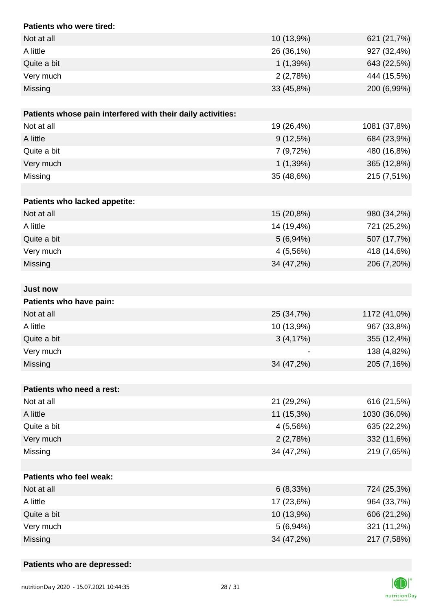| Patients who were tired:                                    |             |              |
|-------------------------------------------------------------|-------------|--------------|
| Not at all                                                  | 10 (13,9%)  | 621 (21,7%)  |
| A little                                                    | 26 (36,1%)  | 927 (32,4%)  |
| Quite a bit                                                 | 1(1,39%)    | 643 (22,5%)  |
| Very much                                                   | 2(2,78%)    | 444 (15,5%)  |
| Missing                                                     | 33 (45,8%)  | 200 (6,99%)  |
|                                                             |             |              |
| Patients whose pain interfered with their daily activities: |             |              |
| Not at all                                                  | 19 (26,4%)  | 1081 (37,8%) |
| A little                                                    | $9(12,5\%)$ | 684 (23,9%)  |
| Quite a bit                                                 | 7 (9,72%)   | 480 (16,8%)  |
| Very much                                                   | 1(1,39%)    | 365 (12,8%)  |
| Missing                                                     | 35 (48,6%)  | 215 (7,51%)  |
|                                                             |             |              |
| Patients who lacked appetite:                               |             |              |
| Not at all                                                  | 15 (20,8%)  | 980 (34,2%)  |
| A little                                                    | 14 (19,4%)  | 721 (25,2%)  |
| Quite a bit                                                 | 5(6,94%)    | 507 (17,7%)  |
| Very much                                                   | 4 (5,56%)   | 418 (14,6%)  |
| Missing                                                     | 34 (47,2%)  | 206 (7,20%)  |
|                                                             |             |              |
| <b>Just now</b>                                             |             |              |
| Patients who have pain:                                     |             |              |
| Not at all                                                  | 25 (34,7%)  | 1172 (41,0%) |
| A little                                                    | 10 (13,9%)  | 967 (33,8%)  |
| Quite a bit                                                 | 3(4,17%)    | 355 (12,4%)  |
| Very much                                                   |             | 138 (4,82%)  |
| Missing                                                     | 34 (47,2%)  | 205 (7,16%)  |
|                                                             |             |              |
| Patients who need a rest:                                   |             |              |
| Not at all                                                  | 21 (29,2%)  | 616 (21,5%)  |
| A little                                                    | 11 (15,3%)  | 1030 (36,0%) |
| Quite a bit                                                 | 4 (5,56%)   | 635 (22,2%)  |
| Very much                                                   | 2(2,78%)    | 332 (11,6%)  |
| Missing                                                     | 34 (47,2%)  | 219 (7,65%)  |
|                                                             |             |              |
| Patients who feel weak:                                     |             |              |
| Not at all                                                  | 6(8,33%)    | 724 (25,3%)  |
| A little                                                    | 17 (23,6%)  | 964 (33,7%)  |
| Quite a bit                                                 | 10 (13,9%)  | 606 (21,2%)  |
| Very much                                                   | 5(6,94%)    | 321 (11,2%)  |
| Missing                                                     | 34 (47,2%)  | 217 (7,58%)  |

### **Patients who are depressed:**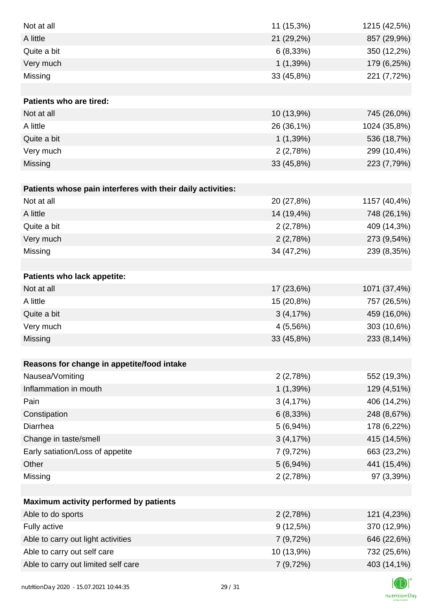| Not at all                                                  | 11 (15,3%) | 1215 (42,5%) |
|-------------------------------------------------------------|------------|--------------|
| A little                                                    | 21 (29,2%) | 857 (29,9%)  |
| Quite a bit                                                 | 6(8,33%)   | 350 (12,2%)  |
| Very much                                                   | 1(1,39%)   | 179 (6,25%)  |
| Missing                                                     | 33 (45,8%) | 221 (7,72%)  |
|                                                             |            |              |
| Patients who are tired:                                     |            |              |
| Not at all                                                  | 10 (13,9%) | 745 (26,0%)  |
| A little                                                    | 26 (36,1%) | 1024 (35,8%) |
| Quite a bit                                                 | 1(1,39%)   | 536 (18,7%)  |
| Very much                                                   | 2(2,78%)   | 299 (10,4%)  |
| Missing                                                     | 33 (45,8%) | 223 (7,79%)  |
|                                                             |            |              |
| Patients whose pain interferes with their daily activities: |            |              |
| Not at all                                                  | 20 (27,8%) | 1157 (40,4%) |
| A little                                                    | 14 (19,4%) | 748 (26,1%)  |
| Quite a bit                                                 | 2(2,78%)   | 409 (14,3%)  |
| Very much                                                   | 2(2,78%)   | 273 (9,54%)  |
| Missing                                                     | 34 (47,2%) | 239 (8,35%)  |
|                                                             |            |              |
| Patients who lack appetite:                                 |            |              |
| Not at all                                                  | 17 (23,6%) | 1071 (37,4%) |
| A little                                                    | 15 (20,8%) | 757 (26,5%)  |
| Quite a bit                                                 | 3(4,17%)   | 459 (16,0%)  |
| Very much                                                   | 4 (5,56%)  | 303 (10,6%)  |
| Missing                                                     | 33 (45,8%) | 233 (8,14%)  |
|                                                             |            |              |
| Reasons for change in appetite/food intake                  |            |              |
| Nausea/Vomiting                                             | 2(2,78%)   | 552 (19,3%)  |
| Inflammation in mouth                                       | 1(1,39%)   | 129 (4,51%)  |
| Pain                                                        | 3(4,17%)   | 406 (14,2%)  |
| Constipation                                                | 6(8,33%)   | 248 (8,67%)  |
| Diarrhea                                                    | 5(6,94%)   | 178 (6,22%)  |
| Change in taste/smell                                       | 3(4,17%)   | 415 (14,5%)  |
| Early satiation/Loss of appetite                            | 7 (9,72%)  | 663 (23,2%)  |
| Other                                                       | 5(6,94%)   | 441 (15,4%)  |
| Missing                                                     | 2(2,78%)   | 97 (3,39%)   |
|                                                             |            |              |
| Maximum activity performed by patients                      |            |              |
| Able to do sports                                           | 2(2,78%)   | 121 (4,23%)  |
| Fully active                                                | 9(12,5%)   | 370 (12,9%)  |
| Able to carry out light activities                          | 7 (9,72%)  | 646 (22,6%)  |
| Able to carry out self care                                 | 10 (13,9%) | 732 (25,6%)  |
| Able to carry out limited self care                         | 7(9,72%)   | 403 (14,1%)  |
|                                                             |            |              |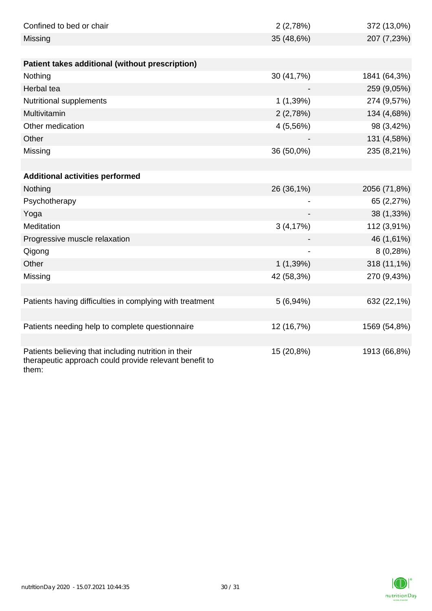| Confined to bed or chair                                                                                                | 2(2,78%)   | 372 (13,0%)  |
|-------------------------------------------------------------------------------------------------------------------------|------------|--------------|
| Missing                                                                                                                 | 35 (48,6%) | 207 (7,23%)  |
|                                                                                                                         |            |              |
| Patient takes additional (without prescription)                                                                         |            |              |
| Nothing                                                                                                                 | 30 (41,7%) | 1841 (64,3%) |
| Herbal tea                                                                                                              |            | 259 (9,05%)  |
| Nutritional supplements                                                                                                 | 1(1,39%)   | 274 (9,57%)  |
| Multivitamin                                                                                                            | 2(2,78%)   | 134 (4,68%)  |
| Other medication                                                                                                        | 4 (5,56%)  | 98 (3,42%)   |
| Other                                                                                                                   |            | 131 (4,58%)  |
| Missing                                                                                                                 | 36 (50,0%) | 235 (8,21%)  |
|                                                                                                                         |            |              |
| <b>Additional activities performed</b>                                                                                  |            |              |
| Nothing                                                                                                                 | 26 (36,1%) | 2056 (71,8%) |
| Psychotherapy                                                                                                           |            | 65 (2,27%)   |
| Yoga                                                                                                                    |            | 38 (1,33%)   |
| Meditation                                                                                                              | 3(4,17%)   | 112 (3,91%)  |
| Progressive muscle relaxation                                                                                           |            | 46 (1,61%)   |
| Qigong                                                                                                                  |            | 8(0,28%)     |
| Other                                                                                                                   | 1(1,39%)   | 318 (11,1%)  |
| Missing                                                                                                                 | 42 (58,3%) | 270 (9,43%)  |
|                                                                                                                         |            |              |
| Patients having difficulties in complying with treatment                                                                | 5(6,94%)   | 632 (22,1%)  |
|                                                                                                                         |            |              |
| Patients needing help to complete questionnaire                                                                         | 12 (16,7%) | 1569 (54,8%) |
|                                                                                                                         |            |              |
| Patients believing that including nutrition in their<br>therapeutic approach could provide relevant benefit to<br>them: | 15 (20,8%) | 1913 (66,8%) |